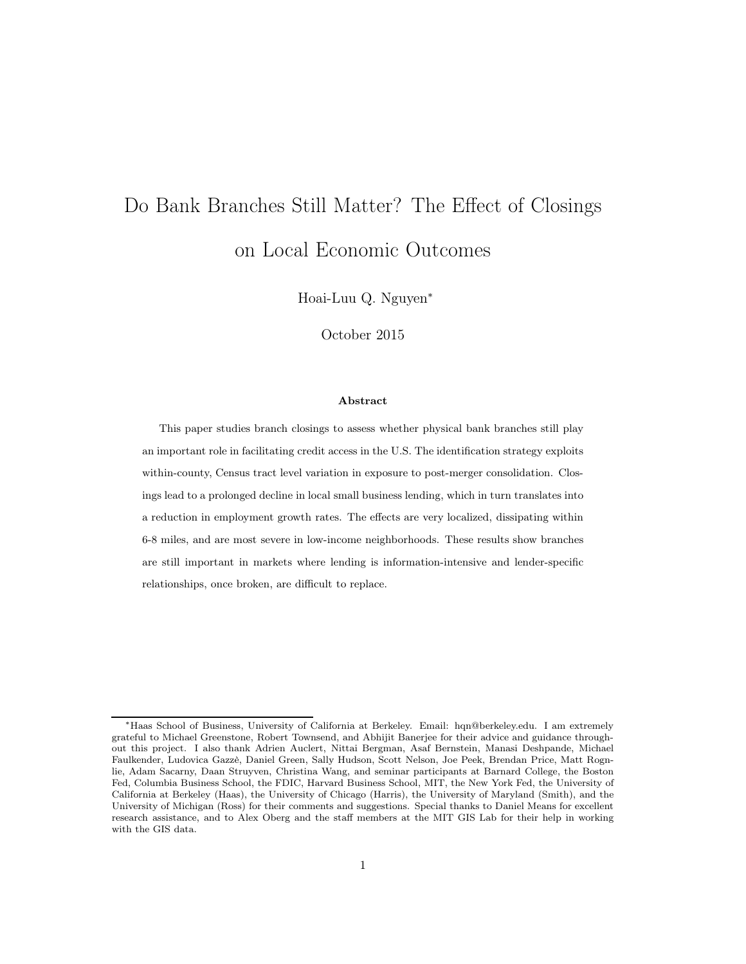# Do Bank Branches Still Matter? The Effect of Closings on Local Economic Outcomes

Hoai-Luu Q. Nguyen<sup>∗</sup>

October 2015

#### Abstract

This paper studies branch closings to assess whether physical bank branches still play an important role in facilitating credit access in the U.S. The identification strategy exploits within-county, Census tract level variation in exposure to post-merger consolidation. Closings lead to a prolonged decline in local small business lending, which in turn translates into a reduction in employment growth rates. The effects are very localized, dissipating within 6-8 miles, and are most severe in low-income neighborhoods. These results show branches are still important in markets where lending is information-intensive and lender-specific relationships, once broken, are difficult to replace.

<sup>∗</sup>Haas School of Business, University of California at Berkeley. Email: hqn@berkeley.edu. I am extremely grateful to Michael Greenstone, Robert Townsend, and Abhijit Banerjee for their advice and guidance throughout this project. I also thank Adrien Auclert, Nittai Bergman, Asaf Bernstein, Manasi Deshpande, Michael Faulkender, Ludovica Gazzè, Daniel Green, Sally Hudson, Scott Nelson, Joe Peek, Brendan Price, Matt Rognlie, Adam Sacarny, Daan Struyven, Christina Wang, and seminar participants at Barnard College, the Boston Fed, Columbia Business School, the FDIC, Harvard Business School, MIT, the New York Fed, the University of California at Berkeley (Haas), the University of Chicago (Harris), the University of Maryland (Smith), and the University of Michigan (Ross) for their comments and suggestions. Special thanks to Daniel Means for excellent research assistance, and to Alex Oberg and the staff members at the MIT GIS Lab for their help in working with the GIS data.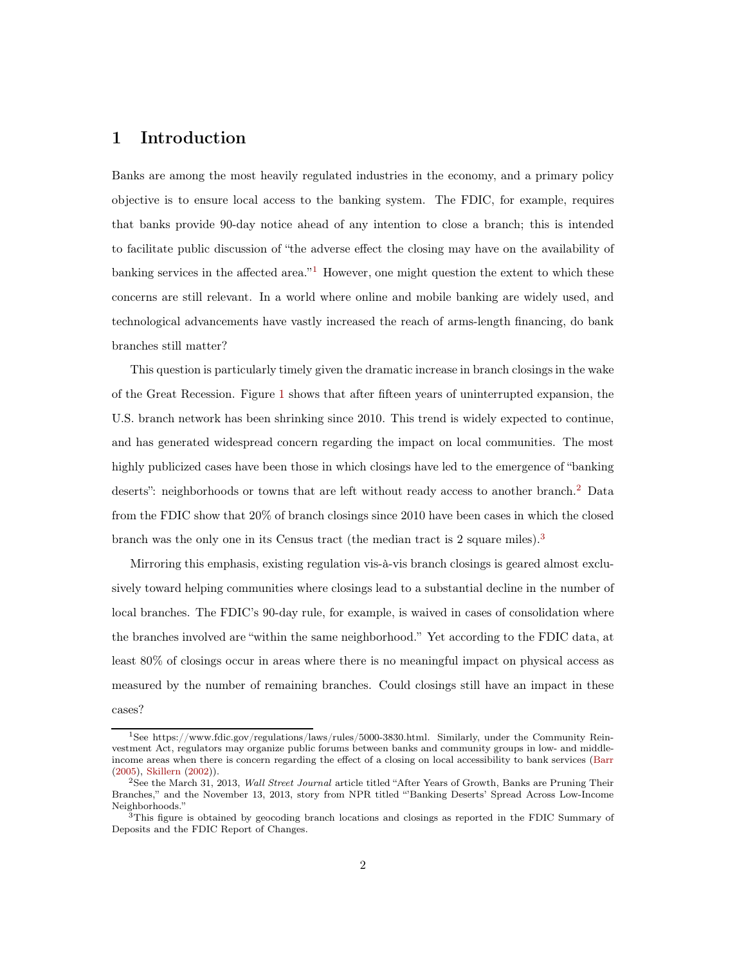## 1 Introduction

Banks are among the most heavily regulated industries in the economy, and a primary policy objective is to ensure local access to the banking system. The FDIC, for example, requires that banks provide 90-day notice ahead of any intention to close a branch; this is intended to facilitate public discussion of "the adverse effect the closing may have on the availability of banking services in the affected area."<sup>1</sup> However, one might question the extent to which these concerns are still relevant. In a world where online and mobile banking are widely used, and technological advancements have vastly increased the reach of arms-length financing, do bank branches still matter?

This question is particularly timely given the dramatic increase in branch closings in the wake of the Great Recession. Figure [1](#page-29-0) shows that after fifteen years of uninterrupted expansion, the U.S. branch network has been shrinking since 2010. This trend is widely expected to continue, and has generated widespread concern regarding the impact on local communities. The most highly publicized cases have been those in which closings have led to the emergence of "banking deserts": neighborhoods or towns that are left without ready access to another branch.<sup>2</sup> Data from the FDIC show that 20% of branch closings since 2010 have been cases in which the closed branch was the only one in its Census tract (the median tract is 2 square miles).<sup>3</sup>

Mirroring this emphasis, existing regulation vis-à-vis branch closings is geared almost exclusively toward helping communities where closings lead to a substantial decline in the number of local branches. The FDIC's 90-day rule, for example, is waived in cases of consolidation where the branches involved are "within the same neighborhood." Yet according to the FDIC data, at least 80% of closings occur in areas where there is no meaningful impact on physical access as measured by the number of remaining branches. Could closings still have an impact in these cases?

<sup>1</sup>See https://www.fdic.gov/regulations/laws/rules/5000-3830.html. Similarly, under the Community Reinvestment Act, regulators may organize public forums between banks and community groups in low- and middleincome areas when there is concern regarding the effect of a closing on local accessibility to bank services [\(Barr](#page-25-0) [\(2005\)](#page-25-0), [Skillern](#page-28-0) [\(2002](#page-28-0))).

<sup>&</sup>lt;sup>2</sup>See the March 31, 2013, Wall Street Journal article titled "After Years of Growth, Banks are Pruning Their Branches," and the November 13, 2013, story from NPR titled "'Banking Deserts' Spread Across Low-Income Neighborhoods."

 $3$ This figure is obtained by geocoding branch locations and closings as reported in the FDIC Summary of Deposits and the FDIC Report of Changes.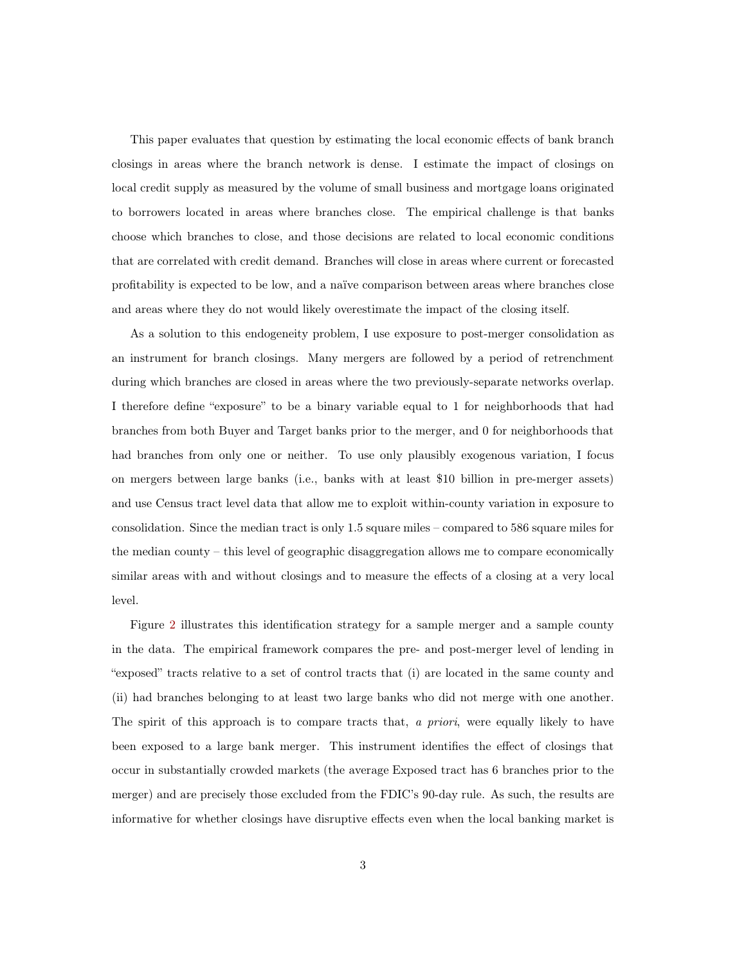This paper evaluates that question by estimating the local economic effects of bank branch closings in areas where the branch network is dense. I estimate the impact of closings on local credit supply as measured by the volume of small business and mortgage loans originated to borrowers located in areas where branches close. The empirical challenge is that banks choose which branches to close, and those decisions are related to local economic conditions that are correlated with credit demand. Branches will close in areas where current or forecasted profitability is expected to be low, and a naïve comparison between areas where branches close and areas where they do not would likely overestimate the impact of the closing itself.

As a solution to this endogeneity problem, I use exposure to post-merger consolidation as an instrument for branch closings. Many mergers are followed by a period of retrenchment during which branches are closed in areas where the two previously-separate networks overlap. I therefore define "exposure" to be a binary variable equal to 1 for neighborhoods that had branches from both Buyer and Target banks prior to the merger, and 0 for neighborhoods that had branches from only one or neither. To use only plausibly exogenous variation, I focus on mergers between large banks (i.e., banks with at least \$10 billion in pre-merger assets) and use Census tract level data that allow me to exploit within-county variation in exposure to consolidation. Since the median tract is only 1.5 square miles – compared to 586 square miles for the median county – this level of geographic disaggregation allows me to compare economically similar areas with and without closings and to measure the effects of a closing at a very local level.

Figure [2](#page-30-0) illustrates this identification strategy for a sample merger and a sample county in the data. The empirical framework compares the pre- and post-merger level of lending in "exposed" tracts relative to a set of control tracts that (i) are located in the same county and (ii) had branches belonging to at least two large banks who did not merge with one another. The spirit of this approach is to compare tracts that, a priori, were equally likely to have been exposed to a large bank merger. This instrument identifies the effect of closings that occur in substantially crowded markets (the average Exposed tract has 6 branches prior to the merger) and are precisely those excluded from the FDIC's 90-day rule. As such, the results are informative for whether closings have disruptive effects even when the local banking market is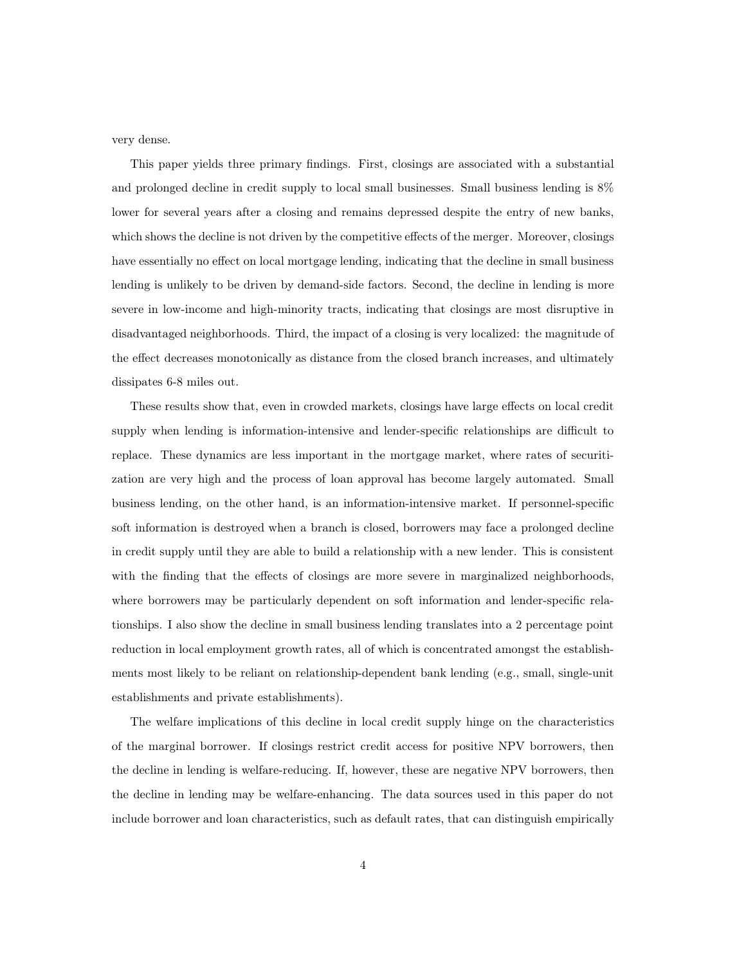very dense.

This paper yields three primary findings. First, closings are associated with a substantial and prolonged decline in credit supply to local small businesses. Small business lending is 8% lower for several years after a closing and remains depressed despite the entry of new banks, which shows the decline is not driven by the competitive effects of the merger. Moreover, closings have essentially no effect on local mortgage lending, indicating that the decline in small business lending is unlikely to be driven by demand-side factors. Second, the decline in lending is more severe in low-income and high-minority tracts, indicating that closings are most disruptive in disadvantaged neighborhoods. Third, the impact of a closing is very localized: the magnitude of the effect decreases monotonically as distance from the closed branch increases, and ultimately dissipates 6-8 miles out.

These results show that, even in crowded markets, closings have large effects on local credit supply when lending is information-intensive and lender-specific relationships are difficult to replace. These dynamics are less important in the mortgage market, where rates of securitization are very high and the process of loan approval has become largely automated. Small business lending, on the other hand, is an information-intensive market. If personnel-specific soft information is destroyed when a branch is closed, borrowers may face a prolonged decline in credit supply until they are able to build a relationship with a new lender. This is consistent with the finding that the effects of closings are more severe in marginalized neighborhoods, where borrowers may be particularly dependent on soft information and lender-specific relationships. I also show the decline in small business lending translates into a 2 percentage point reduction in local employment growth rates, all of which is concentrated amongst the establishments most likely to be reliant on relationship-dependent bank lending (e.g., small, single-unit establishments and private establishments).

The welfare implications of this decline in local credit supply hinge on the characteristics of the marginal borrower. If closings restrict credit access for positive NPV borrowers, then the decline in lending is welfare-reducing. If, however, these are negative NPV borrowers, then the decline in lending may be welfare-enhancing. The data sources used in this paper do not include borrower and loan characteristics, such as default rates, that can distinguish empirically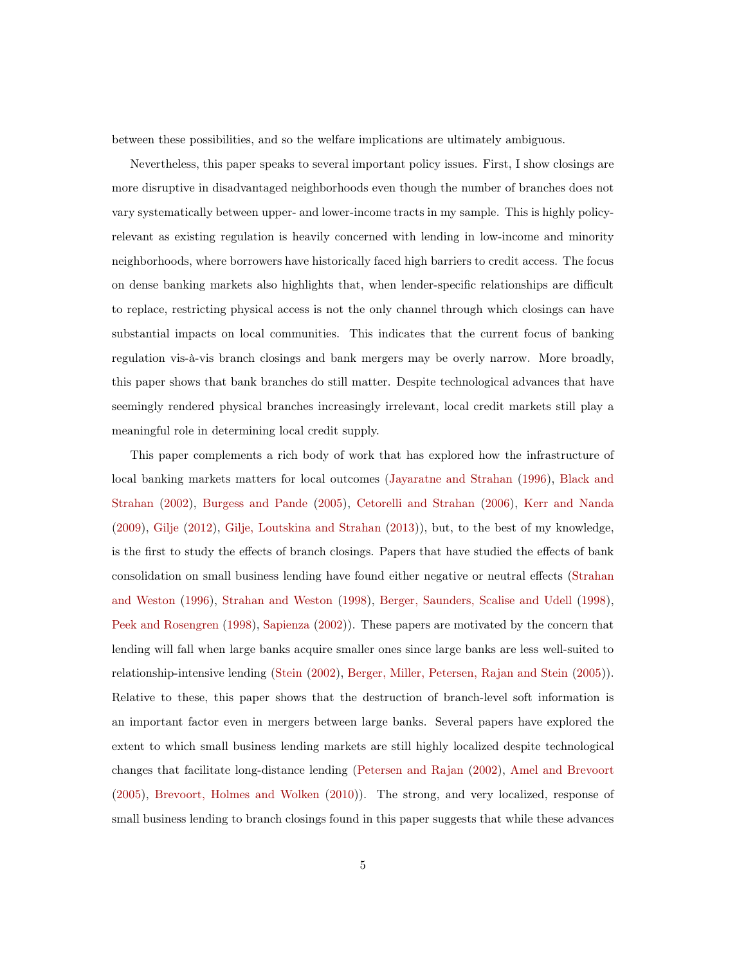between these possibilities, and so the welfare implications are ultimately ambiguous.

Nevertheless, this paper speaks to several important policy issues. First, I show closings are more disruptive in disadvantaged neighborhoods even though the number of branches does not vary systematically between upper- and lower-income tracts in my sample. This is highly policyrelevant as existing regulation is heavily concerned with lending in low-income and minority neighborhoods, where borrowers have historically faced high barriers to credit access. The focus on dense banking markets also highlights that, when lender-specific relationships are difficult to replace, restricting physical access is not the only channel through which closings can have substantial impacts on local communities. This indicates that the current focus of banking regulation vis-à-vis branch closings and bank mergers may be overly narrow. More broadly, this paper shows that bank branches do still matter. Despite technological advances that have seemingly rendered physical branches increasingly irrelevant, local credit markets still play a meaningful role in determining local credit supply.

This paper complements a rich body of work that has explored how the infrastructure of local b[anking markets matters for local outcomes](#page-25-1) [\(Jayaratne and Strahan](#page-27-0) [\(1996\)](#page-27-0), Black and Strahan [\(2002\)](#page-25-1), [Burgess and Pande](#page-26-0) [\(2005](#page-26-0)), [Cetorelli and Strahan](#page-26-1) [\(2006\)](#page-26-1), [Kerr and Nanda](#page-27-1) [\(2009\)](#page-27-1), [Gilje](#page-26-2) [\(2012](#page-26-2)), [Gilje, Loutskina and Strahan](#page-26-3) [\(2013](#page-26-3))), but, to the best of my knowledge, is the first to study the effects of branch closings. Papers that have studied the effects of bank consolidatio[n on small business lending have found either negative or neutral effects \(](#page-28-1)Strahan and Weston [\(1996\)](#page-28-1), [Strahan and Weston](#page-28-2) [\(1998](#page-28-2)), [Berger, Saunders, Scalise and Udell](#page-25-2) [\(1998\)](#page-25-2), [Peek and Rosengren](#page-27-2) [\(1998\)](#page-27-2), [Sapienza](#page-28-3) [\(2002](#page-28-3))). These papers are motivated by the concern that lending will fall when large banks acquire smaller ones since large banks are less well-suited to relationship-intensive lending [\(Stein](#page-28-4) [\(2002\)](#page-28-4), [Berger, Miller, Petersen, Rajan and Stein](#page-25-3) [\(2005\)](#page-25-3)). Relative to these, this paper shows that the destruction of branch-level soft information is an important factor even in mergers between large banks. Several papers have explored the extent to which small business lending markets are still highly localized despite technological changes that facilitate long-distance lending [\(Petersen and Rajan](#page-27-3) [\(2002](#page-27-3)), [Amel and Brevoort](#page-25-4) [\(2005\)](#page-25-4), [Brevoort, Holmes and Wolken](#page-26-4) [\(2010\)](#page-26-4)). The strong, and very localized, response of small business lending to branch closings found in this paper suggests that while these advances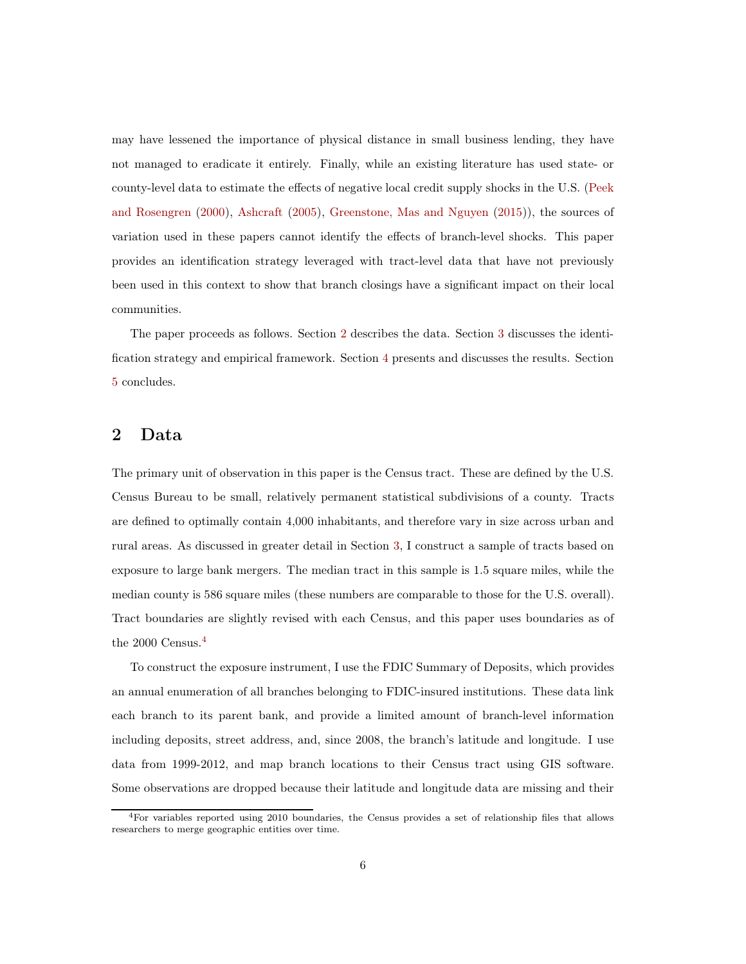may have lessened the importance of physical distance in small business lending, they have not managed to eradicate it entirely. Finally, while an existing literature has used state- or county-level d[ata to estimate the effects of negative local credit supply shocks in the U.S. \(](#page-27-4)Peek and Rosengren [\(2000\)](#page-27-4), [Ashcraft](#page-25-5) [\(2005](#page-25-5)), [Greenstone, Mas and Nguyen](#page-26-5) [\(2015\)](#page-26-5)), the sources of variation used in these papers cannot identify the effects of branch-level shocks. This paper provides an identification strategy leveraged with tract-level data that have not previously been used in this context to show that branch closings have a significant impact on their local communities.

The paper proceeds as follows. Section [2](#page-5-0) describes the data. Section [3](#page-7-0) discusses the identification strategy and empirical framework. Section [4](#page-11-0) presents and discusses the results. Section [5](#page-22-0) concludes.

## <span id="page-5-0"></span>2 Data

The primary unit of observation in this paper is the Census tract. These are defined by the U.S. Census Bureau to be small, relatively permanent statistical subdivisions of a county. Tracts are defined to optimally contain 4,000 inhabitants, and therefore vary in size across urban and rural areas. As discussed in greater detail in Section [3,](#page-7-0) I construct a sample of tracts based on exposure to large bank mergers. The median tract in this sample is 1.5 square miles, while the median county is 586 square miles (these numbers are comparable to those for the U.S. overall). Tract boundaries are slightly revised with each Census, and this paper uses boundaries as of the 2000 Census.<sup>4</sup>

To construct the exposure instrument, I use the FDIC Summary of Deposits, which provides an annual enumeration of all branches belonging to FDIC-insured institutions. These data link each branch to its parent bank, and provide a limited amount of branch-level information including deposits, street address, and, since 2008, the branch's latitude and longitude. I use data from 1999-2012, and map branch locations to their Census tract using GIS software. Some observations are dropped because their latitude and longitude data are missing and their

<sup>4</sup>For variables reported using 2010 boundaries, the Census provides a set of relationship files that allows researchers to merge geographic entities over time.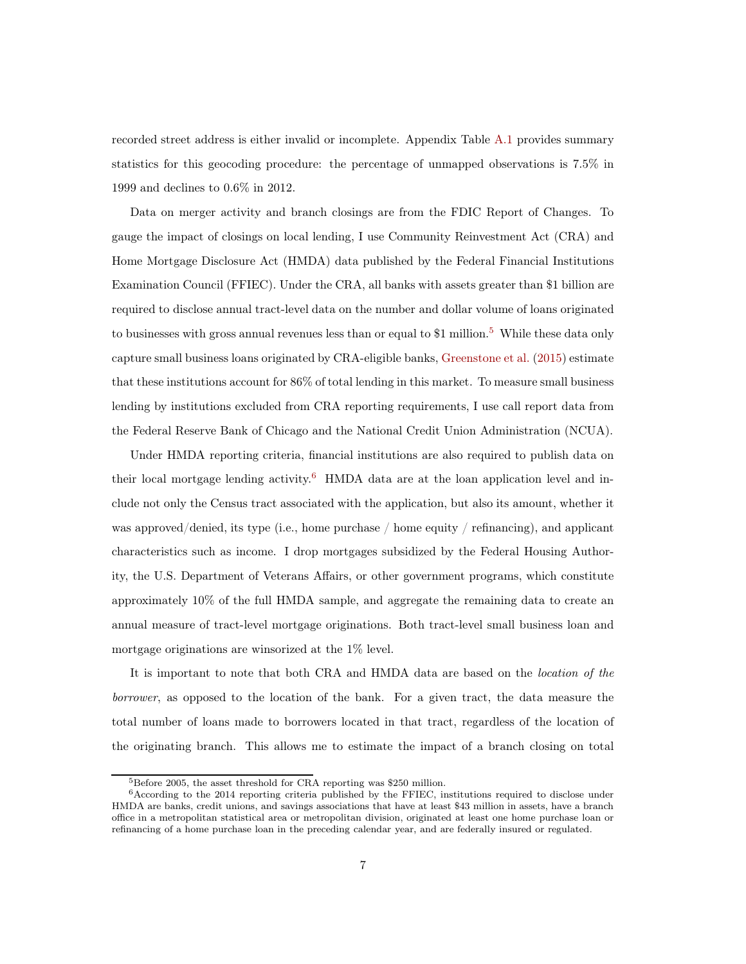recorded street address is either invalid or incomplete. Appendix Table [A.1](#page-43-0) provides summary statistics for this geocoding procedure: the percentage of unmapped observations is 7.5% in 1999 and declines to 0.6% in 2012.

Data on merger activity and branch closings are from the FDIC Report of Changes. To gauge the impact of closings on local lending, I use Community Reinvestment Act (CRA) and Home Mortgage Disclosure Act (HMDA) data published by the Federal Financial Institutions Examination Council (FFIEC). Under the CRA, all banks with assets greater than \$1 billion are required to disclose annual tract-level data on the number and dollar volume of loans originated to businesses with gross annual revenues less than or equal to  $$1$  million.<sup>5</sup> While these data only capture small business loans originated by CRA-eligible banks, [Greenstone et al.](#page-26-5) [\(2015](#page-26-5)) estimate that these institutions account for 86% of total lending in this market. To measure small business lending by institutions excluded from CRA reporting requirements, I use call report data from the Federal Reserve Bank of Chicago and the National Credit Union Administration (NCUA).

Under HMDA reporting criteria, financial institutions are also required to publish data on their local mortgage lending activity.<sup>6</sup> HMDA data are at the loan application level and include not only the Census tract associated with the application, but also its amount, whether it was approved/denied, its type (i.e., home purchase / home equity / refinancing), and applicant characteristics such as income. I drop mortgages subsidized by the Federal Housing Authority, the U.S. Department of Veterans Affairs, or other government programs, which constitute approximately 10% of the full HMDA sample, and aggregate the remaining data to create an annual measure of tract-level mortgage originations. Both tract-level small business loan and mortgage originations are winsorized at the 1% level.

It is important to note that both CRA and HMDA data are based on the location of the borrower, as opposed to the location of the bank. For a given tract, the data measure the total number of loans made to borrowers located in that tract, regardless of the location of the originating branch. This allows me to estimate the impact of a branch closing on total

 $5B$ efore 2005, the asset threshold for CRA reporting was \$250 million.

<sup>6</sup>According to the 2014 reporting criteria published by the FFIEC, institutions required to disclose under HMDA are banks, credit unions, and savings associations that have at least \$43 million in assets, have a branch office in a metropolitan statistical area or metropolitan division, originated at least one home purchase loan or refinancing of a home purchase loan in the preceding calendar year, and are federally insured or regulated.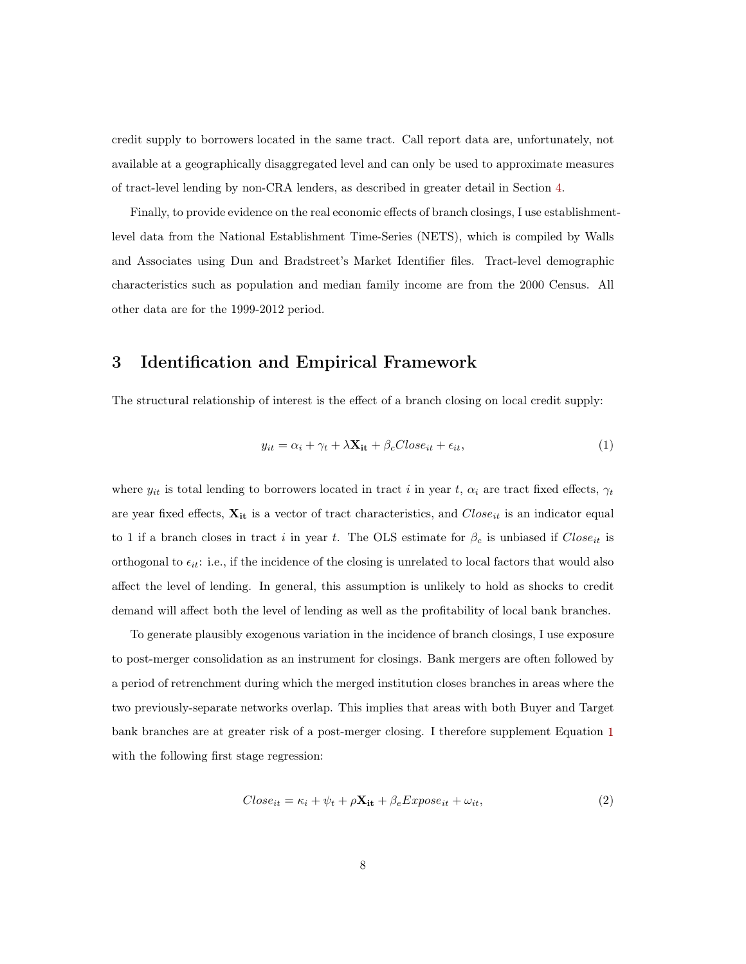credit supply to borrowers located in the same tract. Call report data are, unfortunately, not available at a geographically disaggregated level and can only be used to approximate measures of tract-level lending by non-CRA lenders, as described in greater detail in Section [4.](#page-11-0)

Finally, to provide evidence on the real economic effects of branch closings, I use establishmentlevel data from the National Establishment Time-Series (NETS), which is compiled by Walls and Associates using Dun and Bradstreet's Market Identifier files. Tract-level demographic characteristics such as population and median family income are from the 2000 Census. All other data are for the 1999-2012 period.

## <span id="page-7-0"></span>3 Identification and Empirical Framework

The structural relationship of interest is the effect of a branch closing on local credit supply:

<span id="page-7-1"></span>
$$
y_{it} = \alpha_i + \gamma_t + \lambda \mathbf{X_{it}} + \beta_c Close_{it} + \epsilon_{it}, \tag{1}
$$

where  $y_{it}$  is total lending to borrowers located in tract i in year t,  $\alpha_i$  are tract fixed effects,  $\gamma_t$ are year fixed effects,  $X_{it}$  is a vector of tract characteristics, and  $Close_{it}$  is an indicator equal to 1 if a branch closes in tract i in year t. The OLS estimate for  $\beta_c$  is unbiased if  $Close<sub>it</sub>$  is orthogonal to  $\epsilon_{it}$ : i.e., if the incidence of the closing is unrelated to local factors that would also affect the level of lending. In general, this assumption is unlikely to hold as shocks to credit demand will affect both the level of lending as well as the profitability of local bank branches.

To generate plausibly exogenous variation in the incidence of branch closings, I use exposure to post-merger consolidation as an instrument for closings. Bank mergers are often followed by a period of retrenchment during which the merged institution closes branches in areas where the two previously-separate networks overlap. This implies that areas with both Buyer and Target bank branches are at greater risk of a post-merger closing. I therefore supplement Equation [1](#page-7-1) with the following first stage regression:

$$
Close_{it} = \kappa_i + \psi_t + \rho \mathbf{X_{it}} + \beta_e Expose_{it} + \omega_{it}, \tag{2}
$$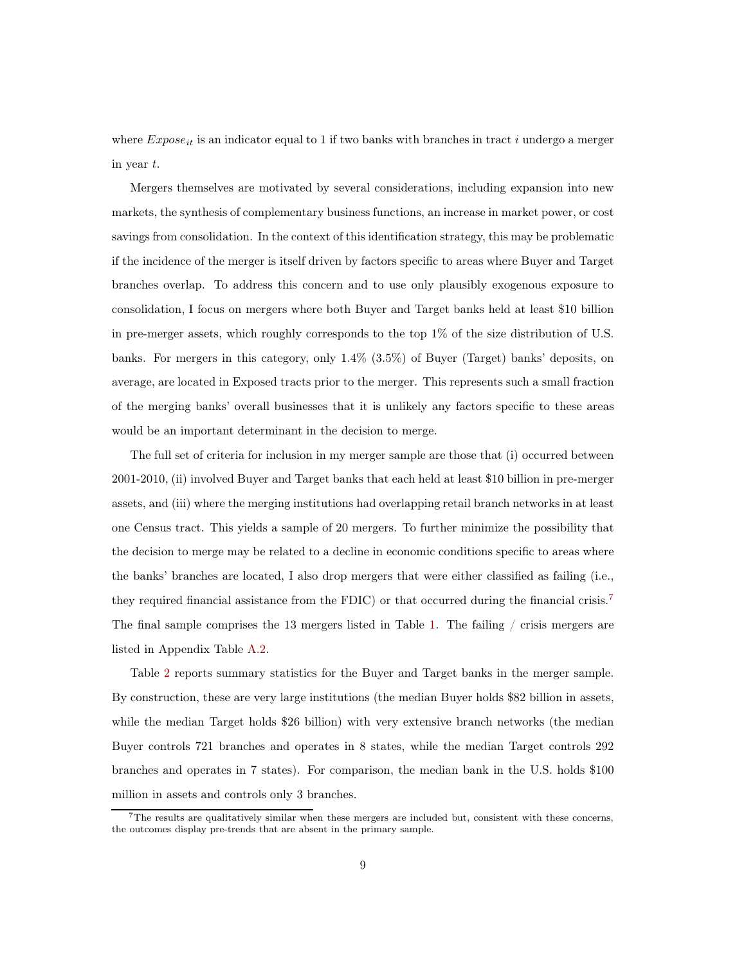where  $Expose_{it}$  is an indicator equal to 1 if two banks with branches in tract i undergo a merger in year t.

Mergers themselves are motivated by several considerations, including expansion into new markets, the synthesis of complementary business functions, an increase in market power, or cost savings from consolidation. In the context of this identification strategy, this may be problematic if the incidence of the merger is itself driven by factors specific to areas where Buyer and Target branches overlap. To address this concern and to use only plausibly exogenous exposure to consolidation, I focus on mergers where both Buyer and Target banks held at least \$10 billion in pre-merger assets, which roughly corresponds to the top  $1\%$  of the size distribution of U.S. banks. For mergers in this category, only 1.4% (3.5%) of Buyer (Target) banks' deposits, on average, are located in Exposed tracts prior to the merger. This represents such a small fraction of the merging banks' overall businesses that it is unlikely any factors specific to these areas would be an important determinant in the decision to merge.

The full set of criteria for inclusion in my merger sample are those that (i) occurred between 2001-2010, (ii) involved Buyer and Target banks that each held at least \$10 billion in pre-merger assets, and (iii) where the merging institutions had overlapping retail branch networks in at least one Census tract. This yields a sample of 20 mergers. To further minimize the possibility that the decision to merge may be related to a decline in economic conditions specific to areas where the banks' branches are located, I also drop mergers that were either classified as failing (i.e., they required financial assistance from the FDIC) or that occurred during the financial crisis.<sup>7</sup> The final sample comprises the 13 mergers listed in Table [1.](#page-34-0) The failing / crisis mergers are listed in Appendix Table [A.2.](#page-43-1)

Table [2](#page-34-1) reports summary statistics for the Buyer and Target banks in the merger sample. By construction, these are very large institutions (the median Buyer holds \$82 billion in assets, while the median Target holds \$26 billion) with very extensive branch networks (the median Buyer controls 721 branches and operates in 8 states, while the median Target controls 292 branches and operates in 7 states). For comparison, the median bank in the U.S. holds \$100 million in assets and controls only 3 branches.

 $7$ The results are qualitatively similar when these mergers are included but, consistent with these concerns, the outcomes display pre-trends that are absent in the primary sample.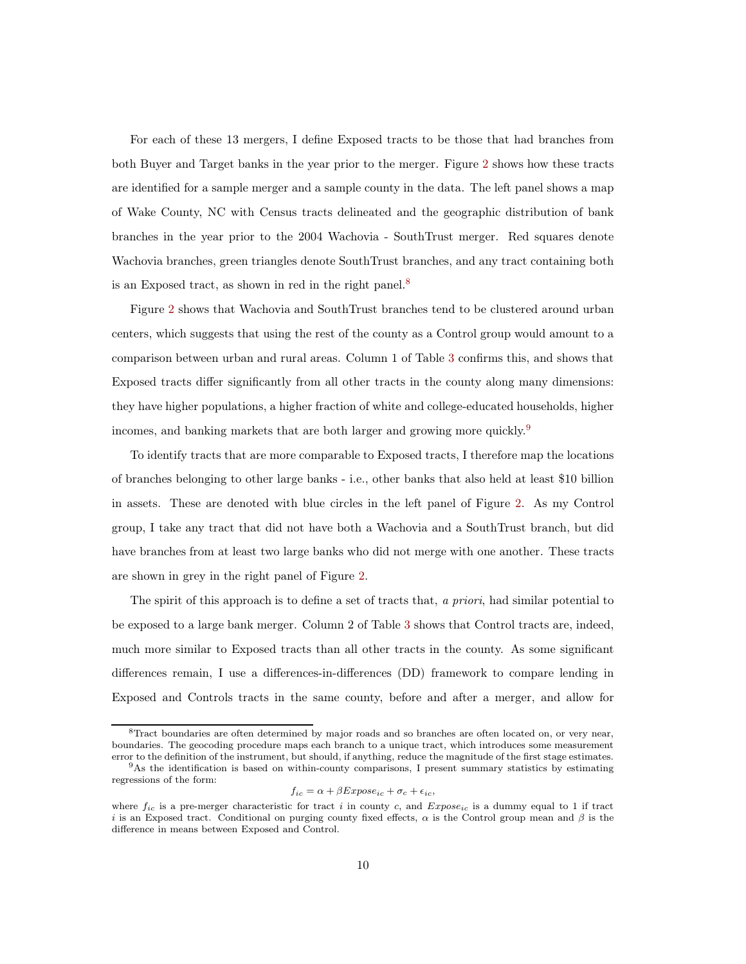For each of these 13 mergers, I define Exposed tracts to be those that had branches from both Buyer and Target banks in the year prior to the merger. Figure [2](#page-30-0) shows how these tracts are identified for a sample merger and a sample county in the data. The left panel shows a map of Wake County, NC with Census tracts delineated and the geographic distribution of bank branches in the year prior to the 2004 Wachovia - SouthTrust merger. Red squares denote Wachovia branches, green triangles denote SouthTrust branches, and any tract containing both is an Exposed tract, as shown in red in the right panel.<sup>8</sup>

Figure [2](#page-30-0) shows that Wachovia and SouthTrust branches tend to be clustered around urban centers, which suggests that using the rest of the county as a Control group would amount to a comparison between urban and rural areas. Column 1 of Table [3](#page-35-0) confirms this, and shows that Exposed tracts differ significantly from all other tracts in the county along many dimensions: they have higher populations, a higher fraction of white and college-educated households, higher incomes, and banking markets that are both larger and growing more quickly.<sup>9</sup>

To identify tracts that are more comparable to Exposed tracts, I therefore map the locations of branches belonging to other large banks - i.e., other banks that also held at least \$10 billion in assets. These are denoted with blue circles in the left panel of Figure [2.](#page-30-0) As my Control group, I take any tract that did not have both a Wachovia and a SouthTrust branch, but did have branches from at least two large banks who did not merge with one another. These tracts are shown in grey in the right panel of Figure [2.](#page-30-0)

The spirit of this approach is to define a set of tracts that, a priori, had similar potential to be exposed to a large bank merger. Column 2 of Table [3](#page-35-0) shows that Control tracts are, indeed, much more similar to Exposed tracts than all other tracts in the county. As some significant differences remain, I use a differences-in-differences (DD) framework to compare lending in Exposed and Controls tracts in the same county, before and after a merger, and allow for

$$
f_{ic} = \alpha + \beta Expose_{ic} + \sigma_c + \epsilon_{ic},
$$

<sup>8</sup>Tract boundaries are often determined by major roads and so branches are often located on, or very near, boundaries. The geocoding procedure maps each branch to a unique tract, which introduces some measurement error to the definition of the instrument, but should, if anything, reduce the magnitude of the first stage estimates.

<sup>9</sup>As the identification is based on within-county comparisons, I present summary statistics by estimating regressions of the form:

where  $f_{ic}$  is a pre-merger characteristic for tract i in county c, and  $Expose_{ic}$  is a dummy equal to 1 if tract i is an Exposed tract. Conditional on purging county fixed effects,  $\alpha$  is the Control group mean and  $\beta$  is the difference in means between Exposed and Control.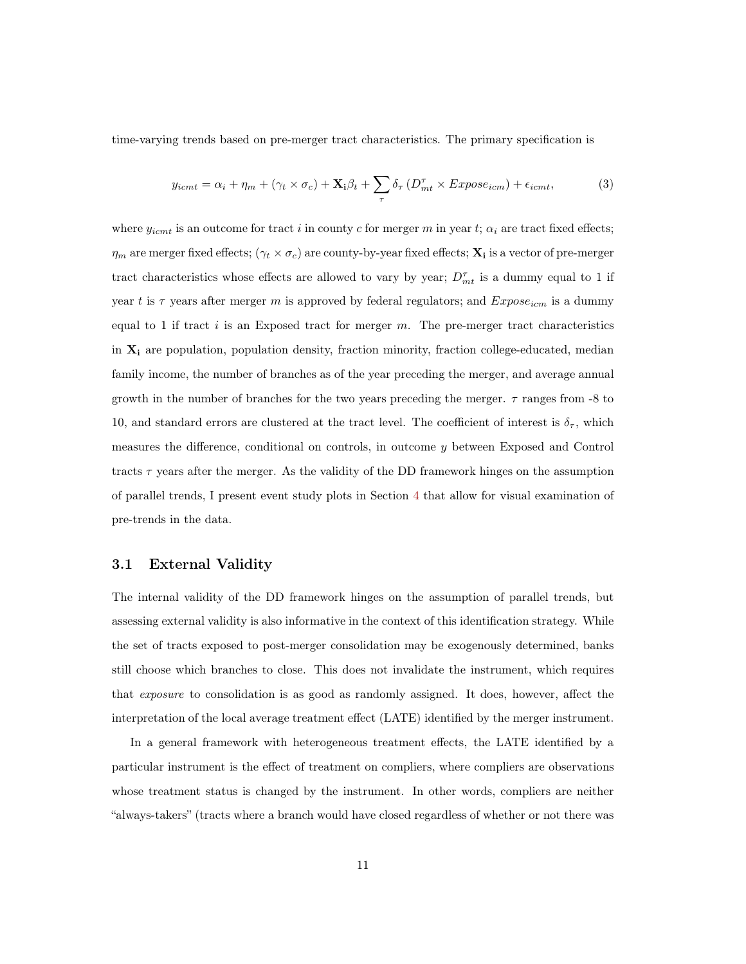time-varying trends based on pre-merger tract characteristics. The primary specification is

<span id="page-10-0"></span>
$$
y_{icmt} = \alpha_i + \eta_m + (\gamma_t \times \sigma_c) + \mathbf{X_i}\beta_t + \sum_{\tau} \delta_{\tau} \left( D_{mt}^{\tau} \times Expose_{icm} \right) + \epsilon_{icmt}, \tag{3}
$$

where  $y_{icmt}$  is an outcome for tract i in county c for merger m in year t;  $\alpha_i$  are tract fixed effects;  $\eta_m$  are merger fixed effects;  $(\gamma_t \times \sigma_c)$  are county-by-year fixed effects;  $\mathbf{X_i}$  is a vector of pre-merger tract characteristics whose effects are allowed to vary by year;  $D_{mt}^{\tau}$  is a dummy equal to 1 if year t is  $\tau$  years after merger m is approved by federal regulators; and  $Expose_{icm}$  is a dummy equal to 1 if tract  $i$  is an Exposed tract for merger  $m$ . The pre-merger tract characteristics in  $X_i$  are population, population density, fraction minority, fraction college-educated, median family income, the number of branches as of the year preceding the merger, and average annual growth in the number of branches for the two years preceding the merger.  $\tau$  ranges from -8 to 10, and standard errors are clustered at the tract level. The coefficient of interest is  $\delta_{\tau}$ , which measures the difference, conditional on controls, in outcome y between Exposed and Control tracts  $\tau$  years after the merger. As the validity of the DD framework hinges on the assumption of parallel trends, I present event study plots in Section [4](#page-11-0) that allow for visual examination of pre-trends in the data.

#### 3.1 External Validity

The internal validity of the DD framework hinges on the assumption of parallel trends, but assessing external validity is also informative in the context of this identification strategy. While the set of tracts exposed to post-merger consolidation may be exogenously determined, banks still choose which branches to close. This does not invalidate the instrument, which requires that exposure to consolidation is as good as randomly assigned. It does, however, affect the interpretation of the local average treatment effect (LATE) identified by the merger instrument.

In a general framework with heterogeneous treatment effects, the LATE identified by a particular instrument is the effect of treatment on compliers, where compliers are observations whose treatment status is changed by the instrument. In other words, compliers are neither "always-takers" (tracts where a branch would have closed regardless of whether or not there was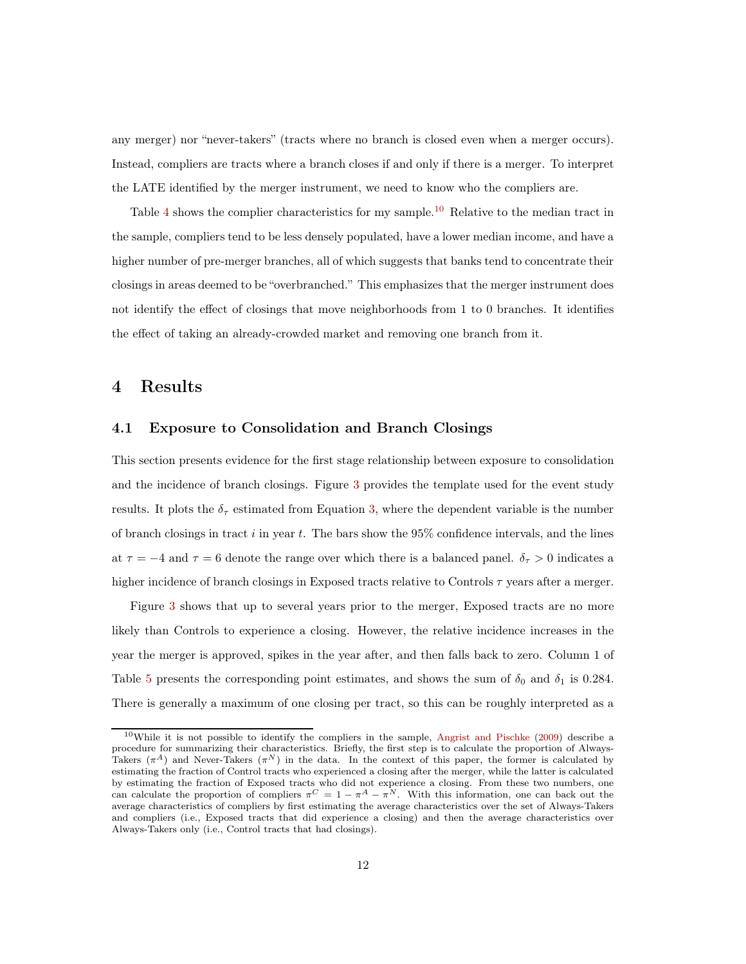any merger) nor "never-takers" (tracts where no branch is closed even when a merger occurs). Instead, compliers are tracts where a branch closes if and only if there is a merger. To interpret the LATE identified by the merger instrument, we need to know who the compliers are.

Table [4](#page-36-0) shows the complier characteristics for my sample.<sup>10</sup> Relative to the median tract in the sample, compliers tend to be less densely populated, have a lower median income, and have a higher number of pre-merger branches, all of which suggests that banks tend to concentrate their closings in areas deemed to be "overbranched." This emphasizes that the merger instrument does not identify the effect of closings that move neighborhoods from 1 to 0 branches. It identifies the effect of taking an already-crowded market and removing one branch from it.

## <span id="page-11-0"></span>4 Results

#### 4.1 Exposure to Consolidation and Branch Closings

This section presents evidence for the first stage relationship between exposure to consolidation and the incidence of branch closings. Figure [3](#page-31-0) provides the template used for the event study results. It plots the  $\delta_{\tau}$  estimated from Equation [3,](#page-10-0) where the dependent variable is the number of branch closings in tract  $i$  in year  $t$ . The bars show the 95% confidence intervals, and the lines at  $\tau = -4$  and  $\tau = 6$  denote the range over which there is a balanced panel.  $\delta_{\tau} > 0$  indicates a higher incidence of branch closings in Exposed tracts relative to Controls  $\tau$  years after a merger.

Figure [3](#page-31-0) shows that up to several years prior to the merger, Exposed tracts are no more likely than Controls to experience a closing. However, the relative incidence increases in the year the merger is approved, spikes in the year after, and then falls back to zero. Column 1 of Table [5](#page-37-0) presents the corresponding point estimates, and shows the sum of  $\delta_0$  and  $\delta_1$  is 0.284. There is generally a maximum of one closing per tract, so this can be roughly interpreted as a

<sup>10</sup>While it is not possible to identify the compliers in the sample, [Angrist and Pischke](#page-25-6) [\(2009\)](#page-25-6) describe a procedure for summarizing their characteristics. Briefly, the first step is to calculate the proportion of Always-Takers  $(\pi^A)$  and Never-Takers  $(\pi^N)$  in the data. In the context of this paper, the former is calculated by estimating the fraction of Control tracts who experienced a closing after the merger, while the latter is calculated by estimating the fraction of Exposed tracts who did not experience a closing. From these two numbers, one can calculate the proportion of compliers  $\pi^C = 1 - \pi^A - \pi^N$ . With this information, one can back out the average characteristics of compliers by first estimating the average characteristics over the set of Always-Takers and compliers (i.e., Exposed tracts that did experience a closing) and then the average characteristics over Always-Takers only (i.e., Control tracts that had closings).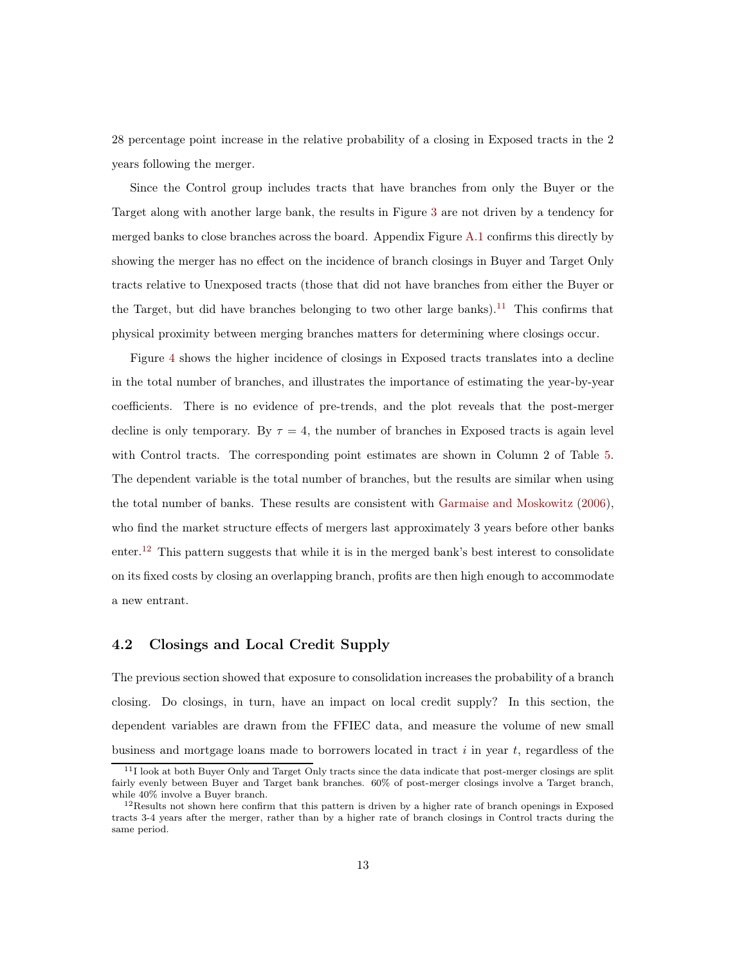28 percentage point increase in the relative probability of a closing in Exposed tracts in the 2 years following the merger.

Since the Control group includes tracts that have branches from only the Buyer or the Target along with another large bank, the results in Figure [3](#page-31-0) are not driven by a tendency for merged banks to close branches across the board. Appendix Figure [A.1](#page-42-0) confirms this directly by showing the merger has no effect on the incidence of branch closings in Buyer and Target Only tracts relative to Unexposed tracts (those that did not have branches from either the Buyer or the Target, but did have branches belonging to two other large banks).<sup>11</sup> This confirms that physical proximity between merging branches matters for determining where closings occur.

Figure [4](#page-31-1) shows the higher incidence of closings in Exposed tracts translates into a decline in the total number of branches, and illustrates the importance of estimating the year-by-year coefficients. There is no evidence of pre-trends, and the plot reveals that the post-merger decline is only temporary. By  $\tau = 4$ , the number of branches in Exposed tracts is again level with Control tracts. The corresponding point estimates are shown in Column 2 of Table [5.](#page-37-0) The dependent variable is the total number of branches, but the results are similar when using the total number of banks. These results are consistent with [Garmaise and Moskowitz](#page-26-6) [\(2006\)](#page-26-6), who find the market structure effects of mergers last approximately 3 years before other banks  $\text{enter.}^{12}$  This pattern suggests that while it is in the merged bank's best interest to consolidate on its fixed costs by closing an overlapping branch, profits are then high enough to accommodate a new entrant.

#### 4.2 Closings and Local Credit Supply

The previous section showed that exposure to consolidation increases the probability of a branch closing. Do closings, in turn, have an impact on local credit supply? In this section, the dependent variables are drawn from the FFIEC data, and measure the volume of new small business and mortgage loans made to borrowers located in tract  $i$  in year  $t$ , regardless of the

 $11$ I look at both Buyer Only and Target Only tracts since the data indicate that post-merger closings are split fairly evenly between Buyer and Target bank branches. 60% of post-merger closings involve a Target branch, while 40% involve a Buyer branch.

 $12$ Results not shown here confirm that this pattern is driven by a higher rate of branch openings in Exposed tracts 3-4 years after the merger, rather than by a higher rate of branch closings in Control tracts during the same period.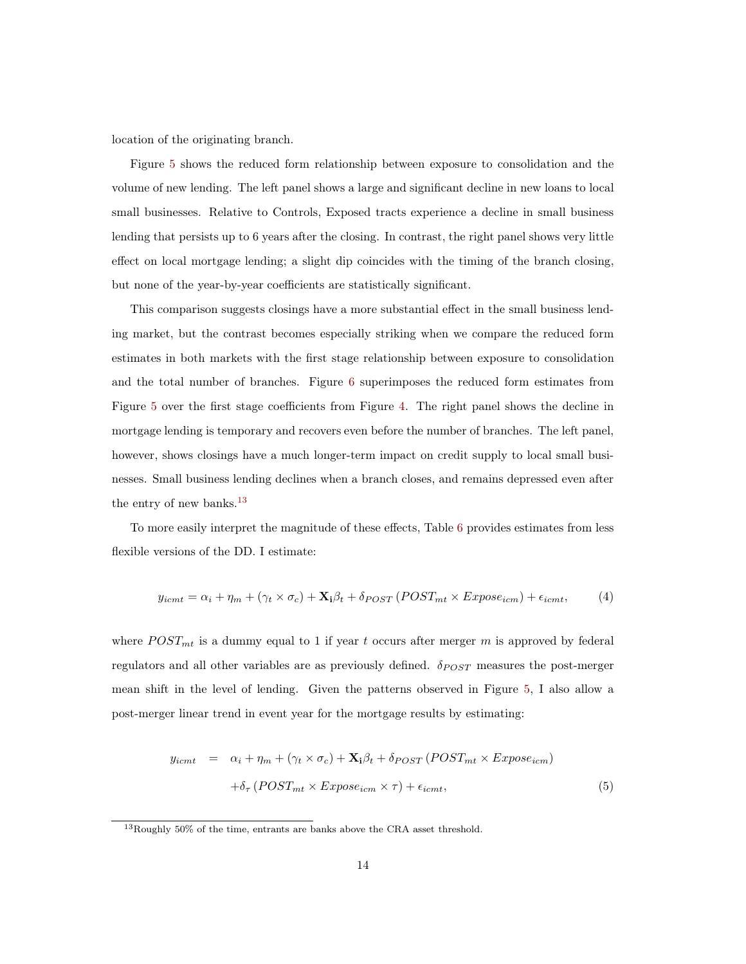location of the originating branch.

Figure [5](#page-32-0) shows the reduced form relationship between exposure to consolidation and the volume of new lending. The left panel shows a large and significant decline in new loans to local small businesses. Relative to Controls, Exposed tracts experience a decline in small business lending that persists up to 6 years after the closing. In contrast, the right panel shows very little effect on local mortgage lending; a slight dip coincides with the timing of the branch closing, but none of the year-by-year coefficients are statistically significant.

This comparison suggests closings have a more substantial effect in the small business lending market, but the contrast becomes especially striking when we compare the reduced form estimates in both markets with the first stage relationship between exposure to consolidation and the total number of branches. Figure [6](#page-32-1) superimposes the reduced form estimates from Figure [5](#page-32-0) over the first stage coefficients from Figure [4.](#page-31-1) The right panel shows the decline in mortgage lending is temporary and recovers even before the number of branches. The left panel, however, shows closings have a much longer-term impact on credit supply to local small businesses. Small business lending declines when a branch closes, and remains depressed even after the entry of new banks. $^{13}$ 

To more easily interpret the magnitude of these effects, Table [6](#page-38-0) provides estimates from less flexible versions of the DD. I estimate:

<span id="page-13-0"></span>
$$
y_{icmt} = \alpha_i + \eta_m + (\gamma_t \times \sigma_c) + \mathbf{X}_i \beta_t + \delta_{POST} (POST_{mt} \times Expose_{icm}) + \epsilon_{icmt}, \tag{4}
$$

where  $POST_{mt}$  is a dummy equal to 1 if year t occurs after merger m is approved by federal regulators and all other variables are as previously defined.  $\delta_{POST}$  measures the post-merger mean shift in the level of lending. Given the patterns observed in Figure [5,](#page-32-0) I also allow a post-merger linear trend in event year for the mortgage results by estimating:

$$
y_{icmt} = \alpha_i + \eta_m + (\gamma_t \times \sigma_c) + \mathbf{X}_i \beta_t + \delta_{POST} (POST_{mt} \times Expose_{icm})
$$

$$
+ \delta_{\tau} (POST_{mt} \times Expose_{icm} \times \tau) + \epsilon_{icmt}, \tag{5}
$$

<sup>13</sup>Roughly 50% of the time, entrants are banks above the CRA asset threshold.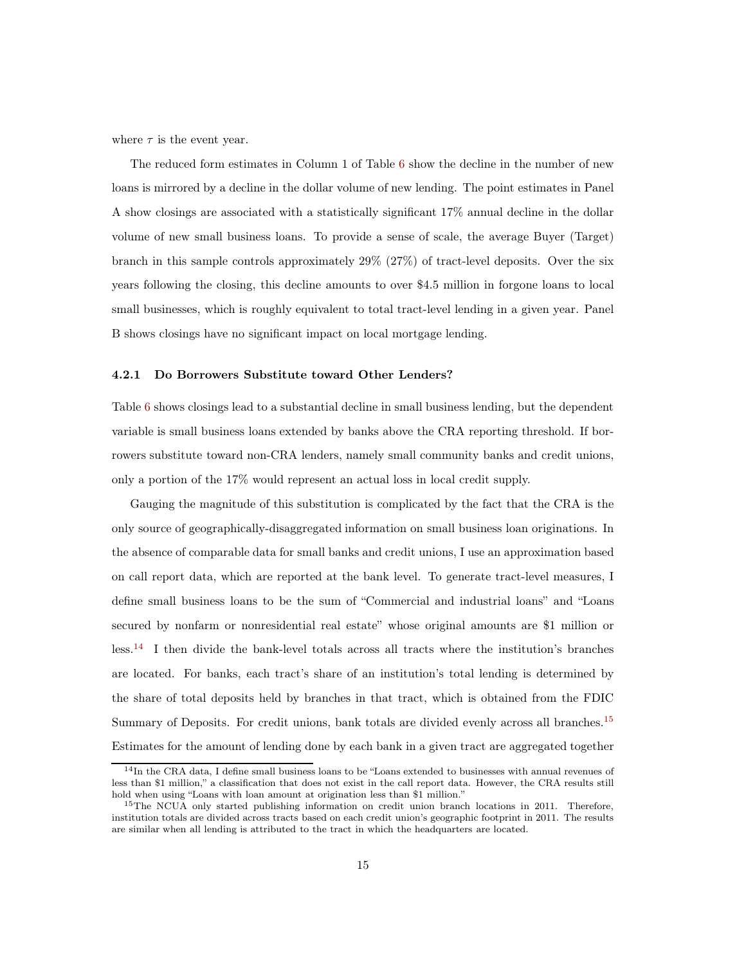where  $\tau$  is the event year.

The reduced form estimates in Column 1 of Table [6](#page-38-0) show the decline in the number of new loans is mirrored by a decline in the dollar volume of new lending. The point estimates in Panel A show closings are associated with a statistically significant 17% annual decline in the dollar volume of new small business loans. To provide a sense of scale, the average Buyer (Target) branch in this sample controls approximately 29% (27%) of tract-level deposits. Over the six years following the closing, this decline amounts to over \$4.5 million in forgone loans to local small businesses, which is roughly equivalent to total tract-level lending in a given year. Panel B shows closings have no significant impact on local mortgage lending.

#### 4.2.1 Do Borrowers Substitute toward Other Lenders?

Table [6](#page-38-0) shows closings lead to a substantial decline in small business lending, but the dependent variable is small business loans extended by banks above the CRA reporting threshold. If borrowers substitute toward non-CRA lenders, namely small community banks and credit unions, only a portion of the 17% would represent an actual loss in local credit supply.

Gauging the magnitude of this substitution is complicated by the fact that the CRA is the only source of geographically-disaggregated information on small business loan originations. In the absence of comparable data for small banks and credit unions, I use an approximation based on call report data, which are reported at the bank level. To generate tract-level measures, I define small business loans to be the sum of "Commercial and industrial loans" and "Loans secured by nonfarm or nonresidential real estate" whose original amounts are \$1 million or less.<sup>14</sup> I then divide the bank-level totals across all tracts where the institution's branches are located. For banks, each tract's share of an institution's total lending is determined by the share of total deposits held by branches in that tract, which is obtained from the FDIC Summary of Deposits. For credit unions, bank totals are divided evenly across all branches.<sup>15</sup> Estimates for the amount of lending done by each bank in a given tract are aggregated together

<sup>&</sup>lt;sup>14</sup>In the CRA data, I define small business loans to be "Loans extended to businesses with annual revenues of less than \$1 million," a classification that does not exist in the call report data. However, the CRA results still hold when using "Loans with loan amount at origination less than \$1 million."

<sup>&</sup>lt;sup>15</sup>The NCUA only started publishing information on credit union branch locations in 2011. Therefore, institution totals are divided across tracts based on each credit union's geographic footprint in 2011. The results are similar when all lending is attributed to the tract in which the headquarters are located.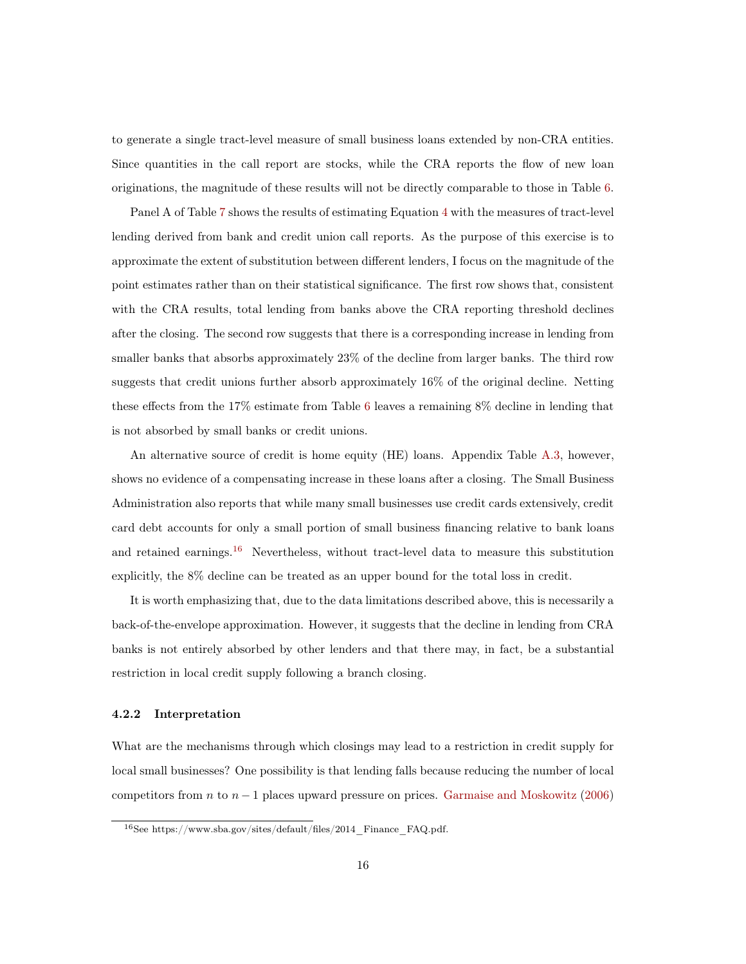to generate a single tract-level measure of small business loans extended by non-CRA entities. Since quantities in the call report are stocks, while the CRA reports the flow of new loan originations, the magnitude of these results will not be directly comparable to those in Table [6.](#page-38-0)

Panel A of Table [7](#page-39-0) shows the results of estimating Equation [4](#page-13-0) with the measures of tract-level lending derived from bank and credit union call reports. As the purpose of this exercise is to approximate the extent of substitution between different lenders, I focus on the magnitude of the point estimates rather than on their statistical significance. The first row shows that, consistent with the CRA results, total lending from banks above the CRA reporting threshold declines after the closing. The second row suggests that there is a corresponding increase in lending from smaller banks that absorbs approximately 23% of the decline from larger banks. The third row suggests that credit unions further absorb approximately 16% of the original decline. Netting these effects from the 17% estimate from Table [6](#page-38-0) leaves a remaining 8% decline in lending that is not absorbed by small banks or credit unions.

An alternative source of credit is home equity (HE) loans. Appendix Table [A.3,](#page-44-0) however, shows no evidence of a compensating increase in these loans after a closing. The Small Business Administration also reports that while many small businesses use credit cards extensively, credit card debt accounts for only a small portion of small business financing relative to bank loans and retained earnings.<sup>16</sup> Nevertheless, without tract-level data to measure this substitution explicitly, the 8% decline can be treated as an upper bound for the total loss in credit.

It is worth emphasizing that, due to the data limitations described above, this is necessarily a back-of-the-envelope approximation. However, it suggests that the decline in lending from CRA banks is not entirely absorbed by other lenders and that there may, in fact, be a substantial restriction in local credit supply following a branch closing.

#### 4.2.2 Interpretation

What are the mechanisms through which closings may lead to a restriction in credit supply for local small businesses? One possibility is that lending falls because reducing the number of local competitors from n to  $n-1$  places upward pressure on prices. [Garmaise and Moskowitz](#page-26-6) [\(2006](#page-26-6))

<sup>16</sup>See https://www.sba.gov/sites/default/files/2014\_Finance\_FAQ.pdf.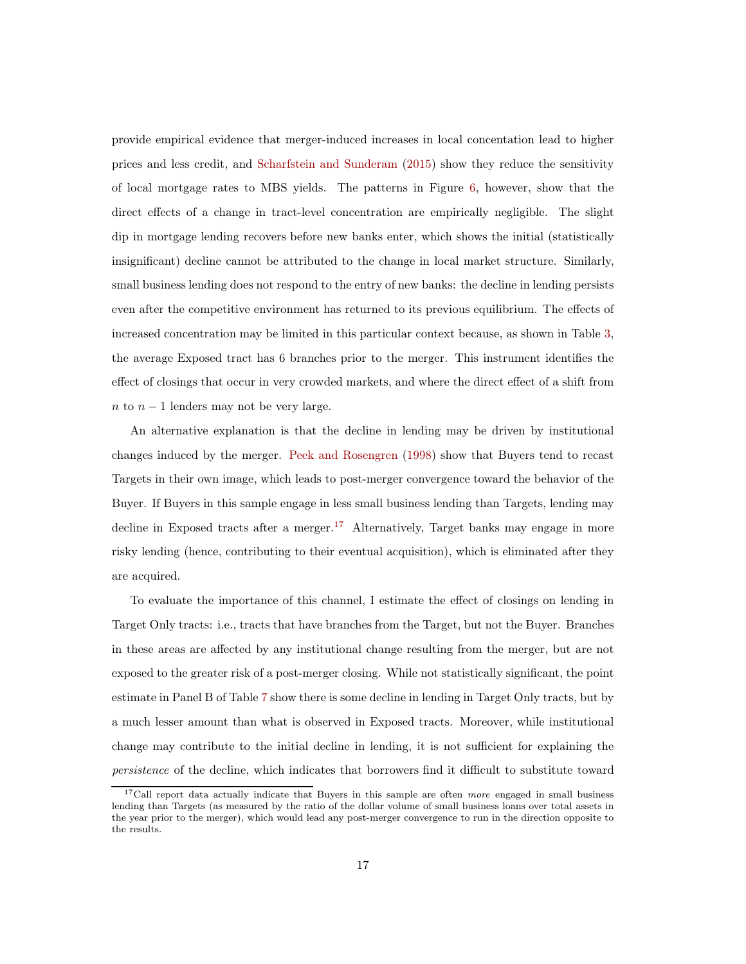provide empirical evidence that merger-induced increases in local concentation lead to higher prices and less credit, and [Scharfstein and Sunderam](#page-28-5) [\(2015](#page-28-5)) show they reduce the sensitivity of local mortgage rates to MBS yields. The patterns in Figure [6,](#page-32-1) however, show that the direct effects of a change in tract-level concentration are empirically negligible. The slight dip in mortgage lending recovers before new banks enter, which shows the initial (statistically insignificant) decline cannot be attributed to the change in local market structure. Similarly, small business lending does not respond to the entry of new banks: the decline in lending persists even after the competitive environment has returned to its previous equilibrium. The effects of increased concentration may be limited in this particular context because, as shown in Table [3,](#page-35-0) the average Exposed tract has 6 branches prior to the merger. This instrument identifies the effect of closings that occur in very crowded markets, and where the direct effect of a shift from  $n$  to  $n-1$  lenders may not be very large.

An alternative explanation is that the decline in lending may be driven by institutional changes induced by the merger. [Peek and Rosengren](#page-27-2) [\(1998](#page-27-2)) show that Buyers tend to recast Targets in their own image, which leads to post-merger convergence toward the behavior of the Buyer. If Buyers in this sample engage in less small business lending than Targets, lending may decline in Exposed tracts after a merger.<sup>17</sup> Alternatively, Target banks may engage in more risky lending (hence, contributing to their eventual acquisition), which is eliminated after they are acquired.

To evaluate the importance of this channel, I estimate the effect of closings on lending in Target Only tracts: i.e., tracts that have branches from the Target, but not the Buyer. Branches in these areas are affected by any institutional change resulting from the merger, but are not exposed to the greater risk of a post-merger closing. While not statistically significant, the point estimate in Panel B of Table [7](#page-39-0) show there is some decline in lending in Target Only tracts, but by a much lesser amount than what is observed in Exposed tracts. Moreover, while institutional change may contribute to the initial decline in lending, it is not sufficient for explaining the persistence of the decline, which indicates that borrowers find it difficult to substitute toward

 $17$ Call report data actually indicate that Buyers in this sample are often *more* engaged in small business lending than Targets (as measured by the ratio of the dollar volume of small business loans over total assets in the year prior to the merger), which would lead any post-merger convergence to run in the direction opposite to the results.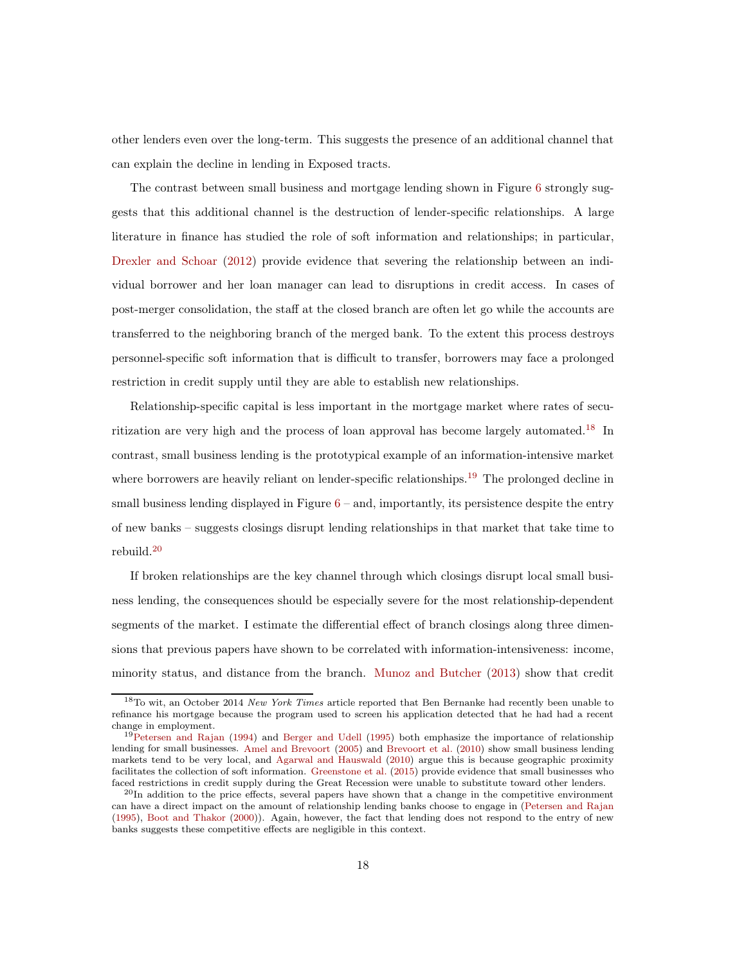other lenders even over the long-term. This suggests the presence of an additional channel that can explain the decline in lending in Exposed tracts.

The contrast between small business and mortgage lending shown in Figure [6](#page-32-1) strongly suggests that this additional channel is the destruction of lender-specific relationships. A large literature in finance has studied the role of soft information and relationships; in particular, [Drexler and Schoar](#page-26-7) [\(2012\)](#page-26-7) provide evidence that severing the relationship between an individual borrower and her loan manager can lead to disruptions in credit access. In cases of post-merger consolidation, the staff at the closed branch are often let go while the accounts are transferred to the neighboring branch of the merged bank. To the extent this process destroys personnel-specific soft information that is difficult to transfer, borrowers may face a prolonged restriction in credit supply until they are able to establish new relationships.

Relationship-specific capital is less important in the mortgage market where rates of securitization are very high and the process of loan approval has become largely automated.<sup>18</sup> In contrast, small business lending is the prototypical example of an information-intensive market where borrowers are heavily reliant on lender-specific relationships.<sup>19</sup> The prolonged decline in small business lending displayed in Figure  $6 6-$  and, importantly, its persistence despite the entry of new banks – suggests closings disrupt lending relationships in that market that take time to rebuild.<sup>20</sup>

If broken relationships are the key channel through which closings disrupt local small business lending, the consequences should be especially severe for the most relationship-dependent segments of the market. I estimate the differential effect of branch closings along three dimensions that previous papers have shown to be correlated with information-intensiveness: income, minority status, and distance from the branch. [Munoz and Butcher](#page-27-5) [\(2013](#page-27-5)) show that credit

<sup>&</sup>lt;sup>18</sup>To wit, an October 2014 New York Times article reported that Ben Bernanke had recently been unable to refinance his mortgage because the program used to screen his application detected that he had had a recent change in employment.

<sup>&</sup>lt;sup>19</sup>[Petersen and Rajan](#page-27-6) [\(1994](#page-27-6)) and [Berger and Udell](#page-25-7) [\(1995\)](#page-25-7) both emphasize the importance of relationship lending for small businesses. [Amel and Brevoort](#page-25-4) [\(2005\)](#page-25-4) and [Brevoort et al.](#page-26-4) [\(2010\)](#page-26-4) show small business lending markets tend to be very local, and [Agarwal and Hauswald](#page-25-8) [\(2010\)](#page-25-8) argue this is because geographic proximity facilitates the collection of soft information. [Greenstone et al.](#page-26-5) [\(2015](#page-26-5)) provide evidence that small businesses who faced restrictions in credit supply during the Great Recession were unable to substitute toward other lenders.

 $^{20}$ In addition to the price effects, several papers have shown that a change in the competitive environment can have a direct impact on the amount of relationship lending banks choose to engage in [\(Petersen and Rajan](#page-27-7) [\(1995\)](#page-27-7), [Boot and Thakor](#page-26-8) [\(2000\)](#page-26-8)). Again, however, the fact that lending does not respond to the entry of new banks suggests these competitive effects are negligible in this context.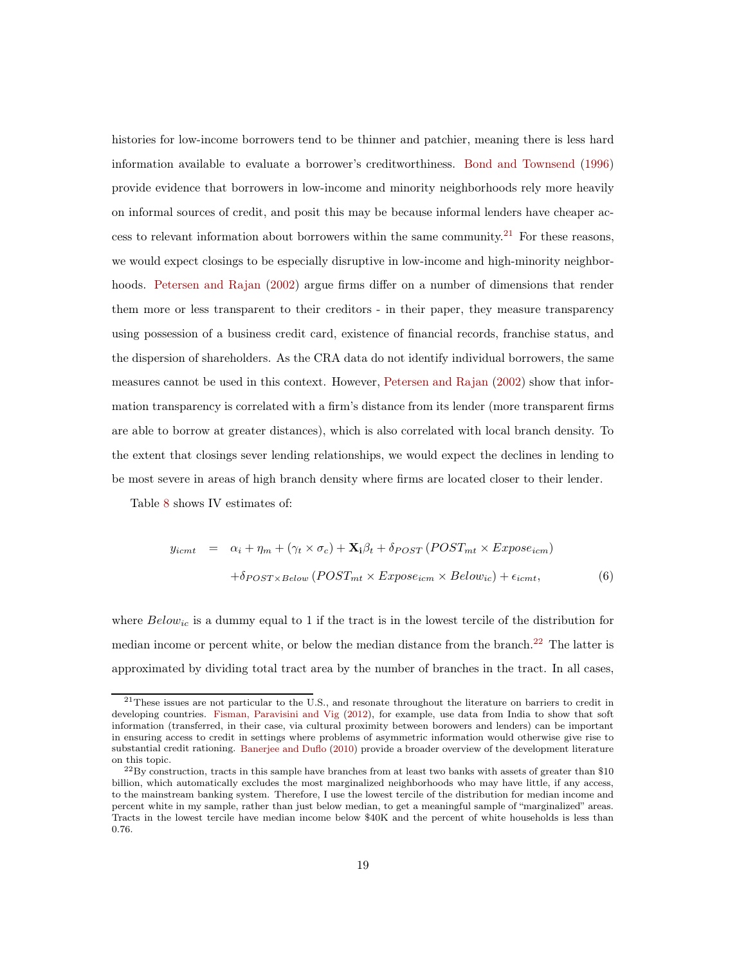histories for low-income borrowers tend to be thinner and patchier, meaning there is less hard information available to evaluate a borrower's creditworthiness. [Bond and Townsend](#page-26-9) [\(1996](#page-26-9)) provide evidence that borrowers in low-income and minority neighborhoods rely more heavily on informal sources of credit, and posit this may be because informal lenders have cheaper access to relevant information about borrowers within the same community.<sup>21</sup> For these reasons, we would expect closings to be especially disruptive in low-income and high-minority neighborhoods. [Petersen and Rajan](#page-27-3) [\(2002](#page-27-3)) argue firms differ on a number of dimensions that render them more or less transparent to their creditors - in their paper, they measure transparency using possession of a business credit card, existence of financial records, franchise status, and the dispersion of shareholders. As the CRA data do not identify individual borrowers, the same measures cannot be used in this context. However, [Petersen and Rajan](#page-27-3) [\(2002\)](#page-27-3) show that information transparency is correlated with a firm's distance from its lender (more transparent firms are able to borrow at greater distances), which is also correlated with local branch density. To the extent that closings sever lending relationships, we would expect the declines in lending to be most severe in areas of high branch density where firms are located closer to their lender.

Table [8](#page-40-0) shows IV estimates of:

$$
y_{icmt} = \alpha_i + \eta_m + (\gamma_t \times \sigma_c) + \mathbf{X}_i \beta_t + \delta_{POST} (POST_{mt} \times Expose_{icm})
$$

$$
+ \delta_{POST \times Below} (POST_{mt} \times Expose_{icm} \times Below_{ic}) + \epsilon_{icmt}, \tag{6}
$$

where  $Below_{ic}$  is a dummy equal to 1 if the tract is in the lowest tercile of the distribution for median income or percent white, or below the median distance from the branch.<sup>22</sup> The latter is approximated by dividing total tract area by the number of branches in the tract. In all cases,

<sup>21</sup>These issues are not particular to the U.S., and resonate throughout the literature on barriers to credit in developing countries. [Fisman, Paravisini and Vig](#page-26-10) [\(2012\)](#page-26-10), for example, use data from India to show that soft information (transferred, in their case, via cultural proximity between borowers and lenders) can be important in ensuring access to credit in settings where problems of asymmetric information would otherwise give rise to substantial credit rationing. [Banerjee and Duflo](#page-25-9) [\(2010](#page-25-9)) provide a broader overview of the development literature on this topic.

 $^{22}$ By construction, tracts in this sample have branches from at least two banks with assets of greater than \$10 billion, which automatically excludes the most marginalized neighborhoods who may have little, if any access, to the mainstream banking system. Therefore, I use the lowest tercile of the distribution for median income and percent white in my sample, rather than just below median, to get a meaningful sample of "marginalized" areas. Tracts in the lowest tercile have median income below \$40K and the percent of white households is less than 0.76.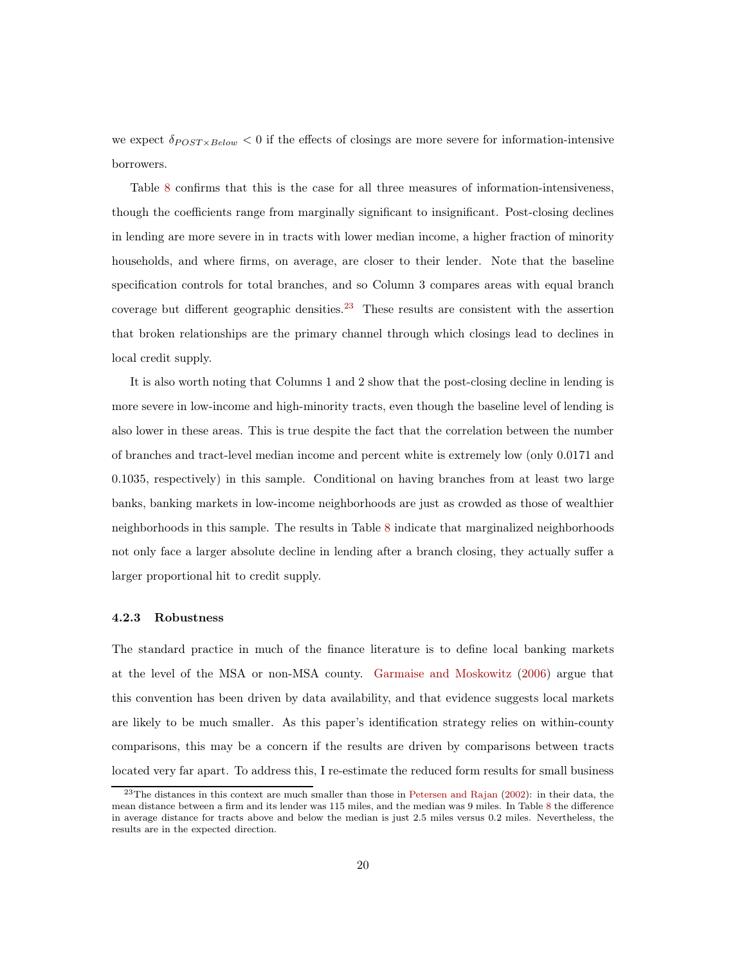we expect  $\delta_{POST \times Below} < 0$  if the effects of closings are more severe for information-intensive borrowers.

Table [8](#page-40-0) confirms that this is the case for all three measures of information-intensiveness, though the coefficients range from marginally significant to insignificant. Post-closing declines in lending are more severe in in tracts with lower median income, a higher fraction of minority households, and where firms, on average, are closer to their lender. Note that the baseline specification controls for total branches, and so Column 3 compares areas with equal branch coverage but different geographic densities.<sup>23</sup> These results are consistent with the assertion that broken relationships are the primary channel through which closings lead to declines in local credit supply.

It is also worth noting that Columns 1 and 2 show that the post-closing decline in lending is more severe in low-income and high-minority tracts, even though the baseline level of lending is also lower in these areas. This is true despite the fact that the correlation between the number of branches and tract-level median income and percent white is extremely low (only 0.0171 and 0.1035, respectively) in this sample. Conditional on having branches from at least two large banks, banking markets in low-income neighborhoods are just as crowded as those of wealthier neighborhoods in this sample. The results in Table [8](#page-40-0) indicate that marginalized neighborhoods not only face a larger absolute decline in lending after a branch closing, they actually suffer a larger proportional hit to credit supply.

#### 4.2.3 Robustness

The standard practice in much of the finance literature is to define local banking markets at the level of the MSA or non-MSA county. [Garmaise and Moskowitz](#page-26-6) [\(2006\)](#page-26-6) argue that this convention has been driven by data availability, and that evidence suggests local markets are likely to be much smaller. As this paper's identification strategy relies on within-county comparisons, this may be a concern if the results are driven by comparisons between tracts located very far apart. To address this, I re-estimate the reduced form results for small business

<sup>&</sup>lt;sup>23</sup>The distances in this context are much smaller than those in [Petersen and Rajan](#page-27-3) [\(2002](#page-27-3)): in their data, the mean distance between a firm and its lender was 115 miles, and the median was 9 miles. In Table [8](#page-40-0) the difference in average distance for tracts above and below the median is just 2.5 miles versus 0.2 miles. Nevertheless, the results are in the expected direction.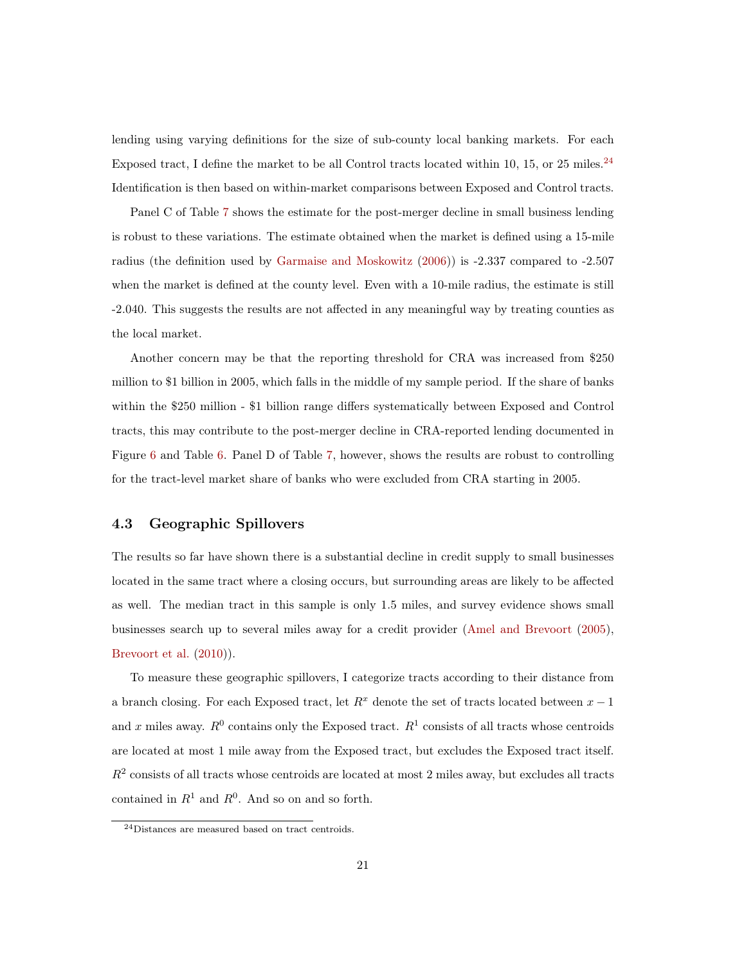lending using varying definitions for the size of sub-county local banking markets. For each Exposed tract, I define the market to be all Control tracts located within 10, 15, or 25 miles.<sup>24</sup> Identification is then based on within-market comparisons between Exposed and Control tracts.

Panel C of Table [7](#page-39-0) shows the estimate for the post-merger decline in small business lending is robust to these variations. The estimate obtained when the market is defined using a 15-mile radius (the definition used by [Garmaise and Moskowitz](#page-26-6) [\(2006\)](#page-26-6)) is -2.337 compared to -2.507 when the market is defined at the county level. Even with a 10-mile radius, the estimate is still -2.040. This suggests the results are not affected in any meaningful way by treating counties as the local market.

Another concern may be that the reporting threshold for CRA was increased from \$250 million to \$1 billion in 2005, which falls in the middle of my sample period. If the share of banks within the \$250 million - \$1 billion range differs systematically between Exposed and Control tracts, this may contribute to the post-merger decline in CRA-reported lending documented in Figure [6](#page-32-1) and Table [6.](#page-38-0) Panel D of Table [7,](#page-39-0) however, shows the results are robust to controlling for the tract-level market share of banks who were excluded from CRA starting in 2005.

#### 4.3 Geographic Spillovers

The results so far have shown there is a substantial decline in credit supply to small businesses located in the same tract where a closing occurs, but surrounding areas are likely to be affected as well. The median tract in this sample is only 1.5 miles, and survey evidence shows small businesses search up to several miles away for a credit provider [\(Amel and Brevoort](#page-25-4) [\(2005\)](#page-25-4), [Brevoort et al.](#page-26-4) [\(2010](#page-26-4))).

To measure these geographic spillovers, I categorize tracts according to their distance from a branch closing. For each Exposed tract, let  $R<sup>x</sup>$  denote the set of tracts located between  $x - 1$ and x miles away.  $R^0$  contains only the Exposed tract.  $R^1$  consists of all tracts whose centroids are located at most 1 mile away from the Exposed tract, but excludes the Exposed tract itself.  $R<sup>2</sup>$  consists of all tracts whose centroids are located at most 2 miles away, but excludes all tracts contained in  $R^1$  and  $R^0$ . And so on and so forth.

<sup>24</sup>Distances are measured based on tract centroids.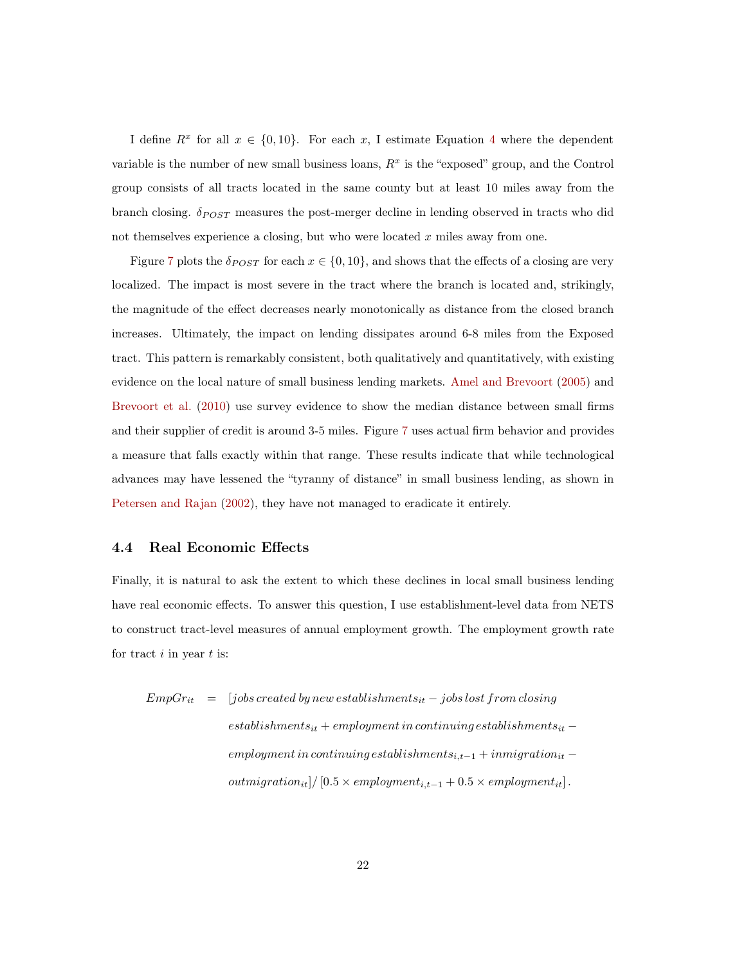I define  $R^x$  for all  $x \in \{0, 10\}$ . For each x, I estimate Equation [4](#page-13-0) where the dependent variable is the number of new small business loans,  $R<sup>x</sup>$  is the "exposed" group, and the Control group consists of all tracts located in the same county but at least 10 miles away from the branch closing.  $\delta_{POST}$  measures the post-merger decline in lending observed in tracts who did not themselves experience a closing, but who were located  $x$  miles away from one.

Figure [7](#page-33-0) plots the  $\delta_{POST}$  for each  $x \in \{0, 10\}$ , and shows that the effects of a closing are very localized. The impact is most severe in the tract where the branch is located and, strikingly, the magnitude of the effect decreases nearly monotonically as distance from the closed branch increases. Ultimately, the impact on lending dissipates around 6-8 miles from the Exposed tract. This pattern is remarkably consistent, both qualitatively and quantitatively, with existing evidence on the local nature of small business lending markets. [Amel and Brevoort](#page-25-4) [\(2005](#page-25-4)) and [Brevoort et al.](#page-26-4) [\(2010](#page-26-4)) use survey evidence to show the median distance between small firms and their supplier of credit is around 3-5 miles. Figure [7](#page-33-0) uses actual firm behavior and provides a measure that falls exactly within that range. These results indicate that while technological advances may have lessened the "tyranny of distance" in small business lending, as shown in [Petersen and Rajan](#page-27-3) [\(2002](#page-27-3)), they have not managed to eradicate it entirely.

#### 4.4 Real Economic Effects

Finally, it is natural to ask the extent to which these declines in local small business lending have real economic effects. To answer this question, I use establishment-level data from NETS to construct tract-level measures of annual employment growth. The employment growth rate for tract  $i$  in year  $t$  is:

$$
EmpGr_{it} = [jobs \, created \, by \, new \, establishes \, the \, -\, jobs \, lost \, from \, closing
$$
\n
$$
establishments_{it} + employment \, in \, continuing \, establishes \,ments_{it} -
$$
\n
$$
emplogment \, in \, continuing \, establishes \,ments_{i,t-1} + in migration_{it} -
$$
\n
$$
out migration_{it} | / [0.5 \times employment_{i,t-1} + 0.5 \times employment_{it}] .
$$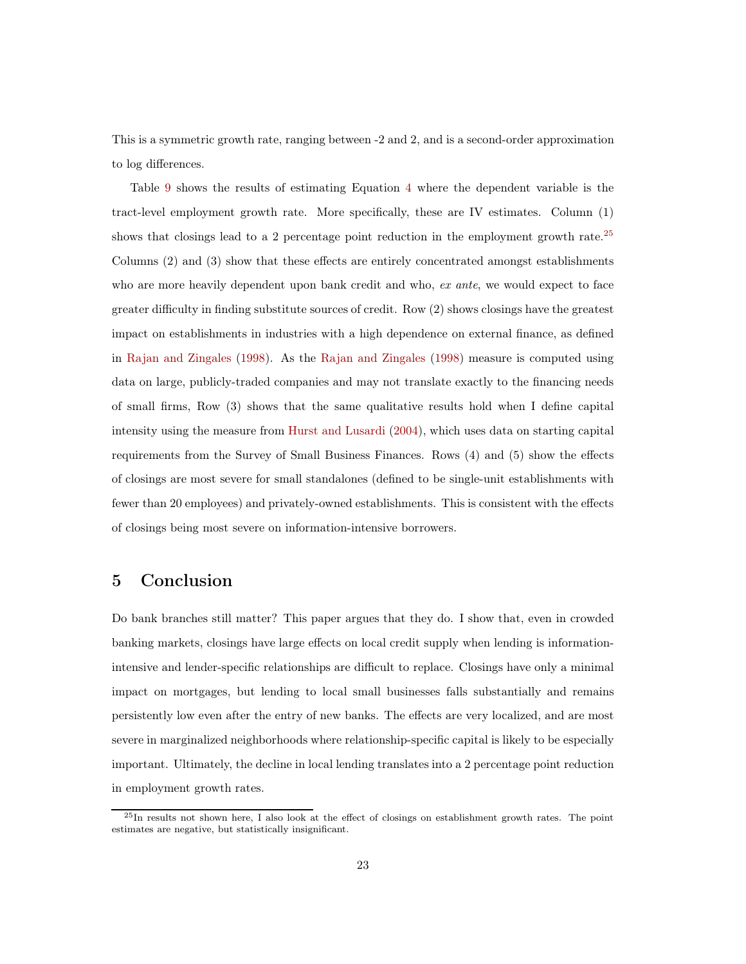This is a symmetric growth rate, ranging between -2 and 2, and is a second-order approximation to log differences.

Table [9](#page-41-0) shows the results of estimating Equation [4](#page-13-0) where the dependent variable is the tract-level employment growth rate. More specifically, these are IV estimates. Column (1) shows that closings lead to a 2 percentage point reduction in the employment growth rate.<sup>25</sup> Columns (2) and (3) show that these effects are entirely concentrated amongst establishments who are more heavily dependent upon bank credit and who, ex ante, we would expect to face greater difficulty in finding substitute sources of credit. Row (2) shows closings have the greatest impact on establishments in industries with a high dependence on external finance, as defined in [Rajan and Zingales](#page-27-8) [\(1998\)](#page-27-8). As the [Rajan and Zingales](#page-27-8) [\(1998](#page-27-8)) measure is computed using data on large, publicly-traded companies and may not translate exactly to the financing needs of small firms, Row (3) shows that the same qualitative results hold when I define capital intensity using the measure from [Hurst and Lusardi](#page-27-9) [\(2004](#page-27-9)), which uses data on starting capital requirements from the Survey of Small Business Finances. Rows (4) and (5) show the effects of closings are most severe for small standalones (defined to be single-unit establishments with fewer than 20 employees) and privately-owned establishments. This is consistent with the effects of closings being most severe on information-intensive borrowers.

## <span id="page-22-0"></span>5 Conclusion

Do bank branches still matter? This paper argues that they do. I show that, even in crowded banking markets, closings have large effects on local credit supply when lending is informationintensive and lender-specific relationships are difficult to replace. Closings have only a minimal impact on mortgages, but lending to local small businesses falls substantially and remains persistently low even after the entry of new banks. The effects are very localized, and are most severe in marginalized neighborhoods where relationship-specific capital is likely to be especially important. Ultimately, the decline in local lending translates into a 2 percentage point reduction in employment growth rates.

 $^{25}$ In results not shown here, I also look at the effect of closings on establishment growth rates. The point estimates are negative, but statistically insignificant.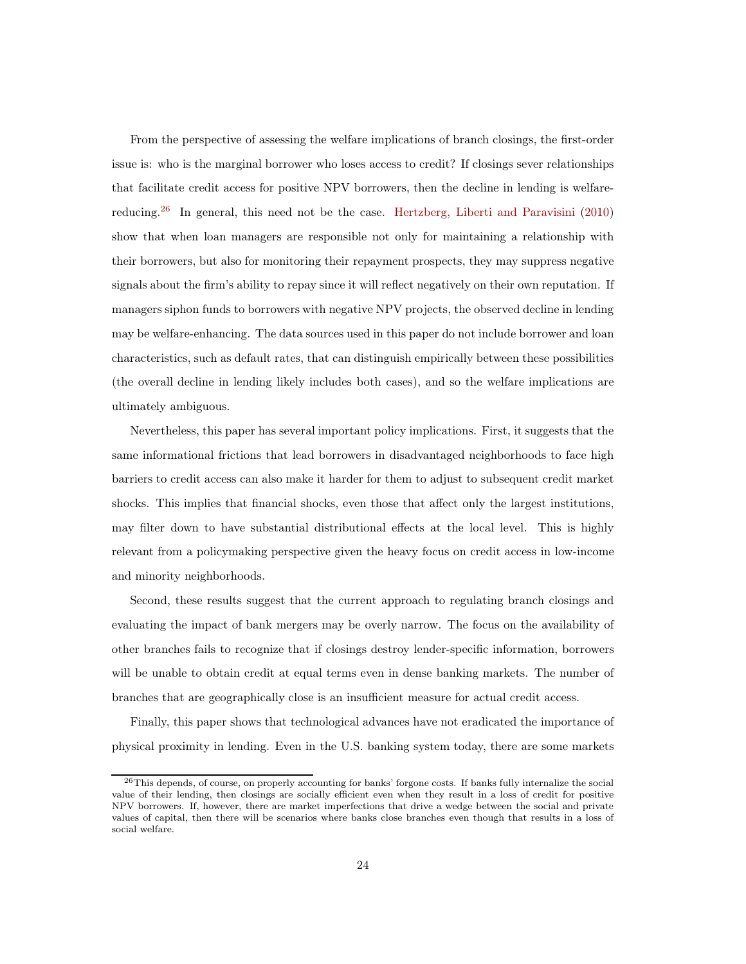From the perspective of assessing the welfare implications of branch closings, the first-order issue is: who is the marginal borrower who loses access to credit? If closings sever relationships that facilitate credit access for positive NPV borrowers, then the decline in lending is welfare-reducing.<sup>26</sup> In general, this need not be the case. [Hertzberg, Liberti and Paravisini](#page-27-10) [\(2010](#page-27-10)) show that when loan managers are responsible not only for maintaining a relationship with their borrowers, but also for monitoring their repayment prospects, they may suppress negative signals about the firm's ability to repay since it will reflect negatively on their own reputation. If managers siphon funds to borrowers with negative NPV projects, the observed decline in lending may be welfare-enhancing. The data sources used in this paper do not include borrower and loan characteristics, such as default rates, that can distinguish empirically between these possibilities (the overall decline in lending likely includes both cases), and so the welfare implications are ultimately ambiguous.

Nevertheless, this paper has several important policy implications. First, it suggests that the same informational frictions that lead borrowers in disadvantaged neighborhoods to face high barriers to credit access can also make it harder for them to adjust to subsequent credit market shocks. This implies that financial shocks, even those that affect only the largest institutions, may filter down to have substantial distributional effects at the local level. This is highly relevant from a policymaking perspective given the heavy focus on credit access in low-income and minority neighborhoods.

Second, these results suggest that the current approach to regulating branch closings and evaluating the impact of bank mergers may be overly narrow. The focus on the availability of other branches fails to recognize that if closings destroy lender-specific information, borrowers will be unable to obtain credit at equal terms even in dense banking markets. The number of branches that are geographically close is an insufficient measure for actual credit access.

Finally, this paper shows that technological advances have not eradicated the importance of physical proximity in lending. Even in the U.S. banking system today, there are some markets

<sup>26</sup>This depends, of course, on properly accounting for banks' forgone costs. If banks fully internalize the social value of their lending, then closings are socially efficient even when they result in a loss of credit for positive NPV borrowers. If, however, there are market imperfections that drive a wedge between the social and private values of capital, then there will be scenarios where banks close branches even though that results in a loss of social welfare.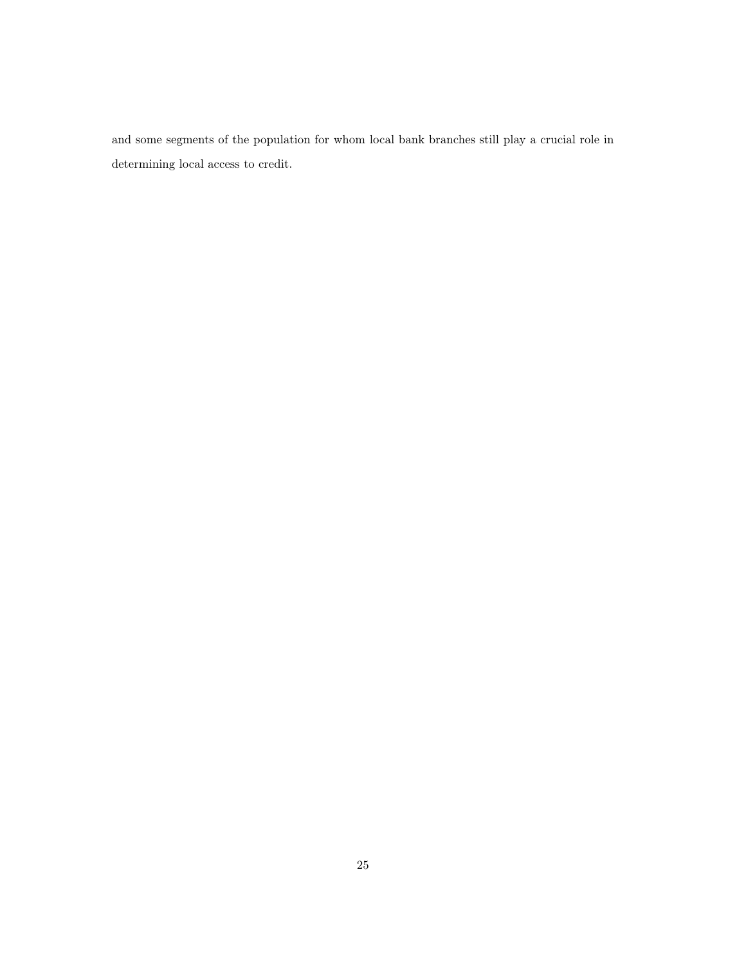and some segments of the population for whom local bank branches still play a crucial role in determining local access to credit.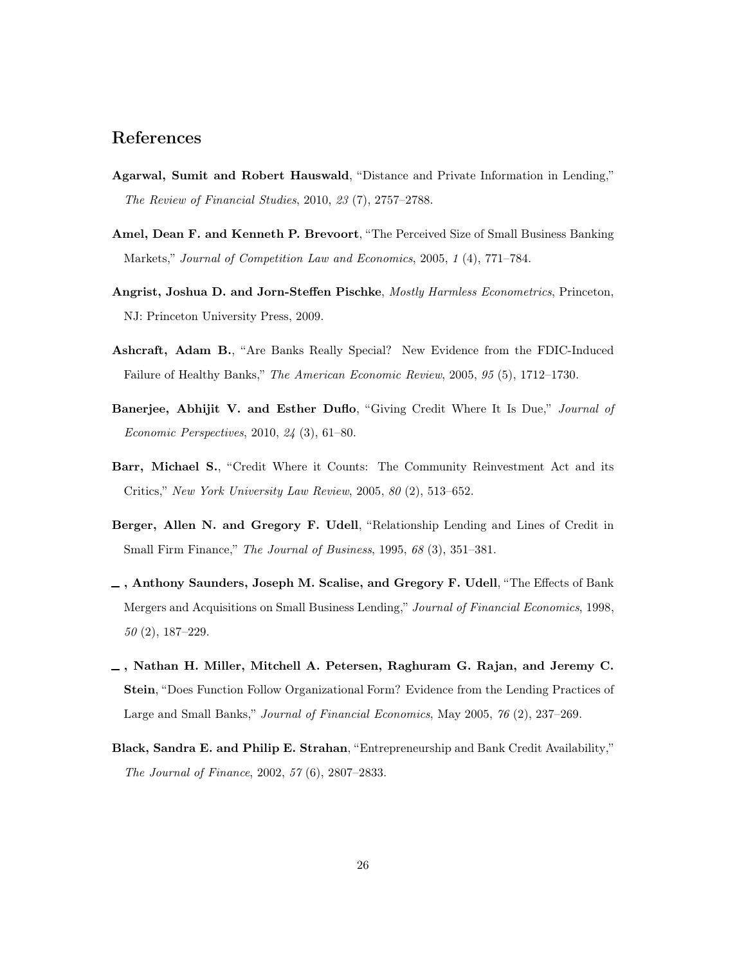## References

- <span id="page-25-8"></span>Agarwal, Sumit and Robert Hauswald, "Distance and Private Information in Lending," The Review of Financial Studies, 2010, 23 (7), 2757–2788.
- <span id="page-25-4"></span>Amel, Dean F. and Kenneth P. Brevoort, "The Perceived Size of Small Business Banking Markets," Journal of Competition Law and Economics, 2005, 1 (4), 771–784.
- <span id="page-25-6"></span>Angrist, Joshua D. and Jorn-Steffen Pischke, Mostly Harmless Econometrics, Princeton, NJ: Princeton University Press, 2009.
- <span id="page-25-5"></span>Ashcraft, Adam B., "Are Banks Really Special? New Evidence from the FDIC-Induced Failure of Healthy Banks," The American Economic Review, 2005, 95 (5), 1712–1730.
- <span id="page-25-9"></span>Banerjee, Abhijit V. and Esther Duflo, "Giving Credit Where It Is Due," Journal of Economic Perspectives, 2010, 24 (3), 61–80.
- <span id="page-25-0"></span>Barr, Michael S., "Credit Where it Counts: The Community Reinvestment Act and its Critics," New York University Law Review, 2005, 80 (2), 513–652.
- <span id="page-25-7"></span>Berger, Allen N. and Gregory F. Udell, "Relationship Lending and Lines of Credit in Small Firm Finance," The Journal of Business, 1995, 68 (3), 351-381.
- <span id="page-25-2"></span> $\overline{\phantom{a}}$ , Anthony Saunders, Joseph M. Scalise, and Gregory F. Udell, "The Effects of Bank Mergers and Acquisitions on Small Business Lending," Journal of Financial Economics, 1998, 50 (2), 187–229.
- <span id="page-25-3"></span>, Nathan H. Miller, Mitchell A. Petersen, Raghuram G. Rajan, and Jeremy C. Stein, "Does Function Follow Organizational Form? Evidence from the Lending Practices of Large and Small Banks," Journal of Financial Economics, May 2005, 76 (2), 237–269.
- <span id="page-25-1"></span>Black, Sandra E. and Philip E. Strahan, "Entrepreneurship and Bank Credit Availability," The Journal of Finance, 2002, 57 (6), 2807–2833.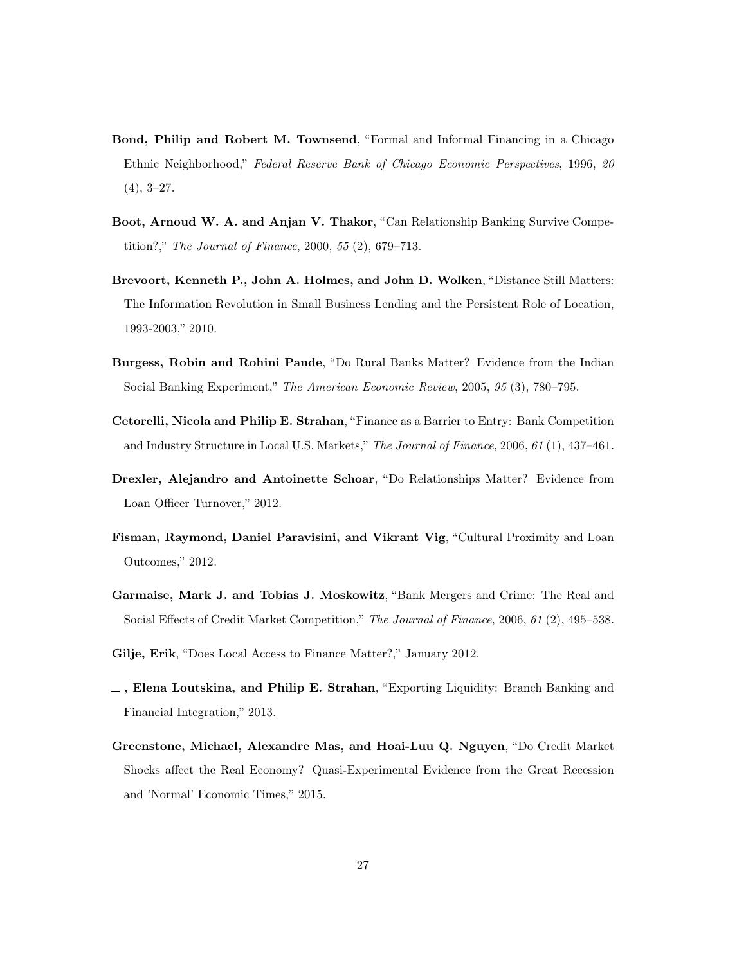- <span id="page-26-9"></span>Bond, Philip and Robert M. Townsend, "Formal and Informal Financing in a Chicago Ethnic Neighborhood," Federal Reserve Bank of Chicago Economic Perspectives, 1996, 20  $(4), 3-27.$
- <span id="page-26-8"></span>Boot, Arnoud W. A. and Anjan V. Thakor, "Can Relationship Banking Survive Competition?," The Journal of Finance, 2000, 55 (2), 679–713.
- <span id="page-26-4"></span>Brevoort, Kenneth P., John A. Holmes, and John D. Wolken, "Distance Still Matters: The Information Revolution in Small Business Lending and the Persistent Role of Location, 1993-2003," 2010.
- <span id="page-26-0"></span>Burgess, Robin and Rohini Pande, "Do Rural Banks Matter? Evidence from the Indian Social Banking Experiment," The American Economic Review, 2005, 95 (3), 780–795.
- <span id="page-26-1"></span>Cetorelli, Nicola and Philip E. Strahan, "Finance as a Barrier to Entry: Bank Competition and Industry Structure in Local U.S. Markets," The Journal of Finance, 2006, 61 (1), 437–461.
- <span id="page-26-7"></span>Drexler, Alejandro and Antoinette Schoar, "Do Relationships Matter? Evidence from Loan Officer Turnover," 2012.
- <span id="page-26-10"></span>Fisman, Raymond, Daniel Paravisini, and Vikrant Vig, "Cultural Proximity and Loan Outcomes," 2012.
- <span id="page-26-6"></span>Garmaise, Mark J. and Tobias J. Moskowitz, "Bank Mergers and Crime: The Real and Social Effects of Credit Market Competition," The Journal of Finance, 2006, 61 (2), 495–538.
- <span id="page-26-2"></span>Gilje, Erik, "Does Local Access to Finance Matter?," January 2012.
- <span id="page-26-3"></span>, Elena Loutskina, and Philip E. Strahan, "Exporting Liquidity: Branch Banking and Financial Integration," 2013.
- <span id="page-26-5"></span>Greenstone, Michael, Alexandre Mas, and Hoai-Luu Q. Nguyen, "Do Credit Market Shocks affect the Real Economy? Quasi-Experimental Evidence from the Great Recession and 'Normal' Economic Times," 2015.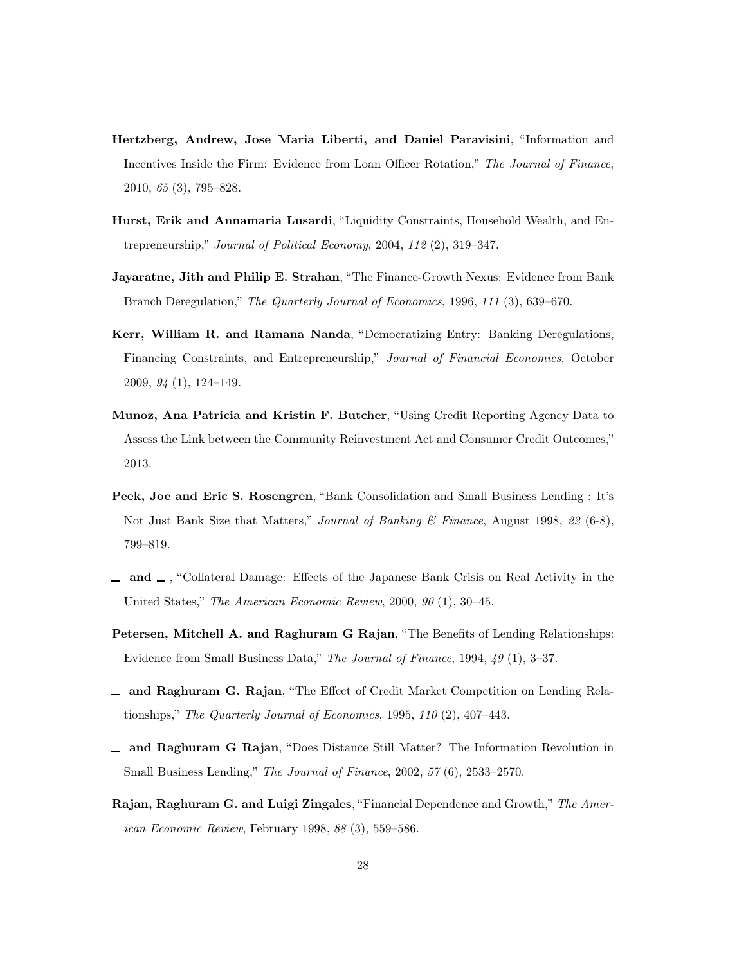- <span id="page-27-10"></span>Hertzberg, Andrew, Jose Maria Liberti, and Daniel Paravisini, "Information and Incentives Inside the Firm: Evidence from Loan Officer Rotation," The Journal of Finance, 2010, 65 (3), 795–828.
- <span id="page-27-9"></span>Hurst, Erik and Annamaria Lusardi, "Liquidity Constraints, Household Wealth, and Entrepreneurship," Journal of Political Economy, 2004, 112 (2), 319–347.
- <span id="page-27-0"></span>Jayaratne, Jith and Philip E. Strahan, "The Finance-Growth Nexus: Evidence from Bank Branch Deregulation," The Quarterly Journal of Economics, 1996, 111 (3), 639–670.
- <span id="page-27-1"></span>Kerr, William R. and Ramana Nanda, "Democratizing Entry: Banking Deregulations, Financing Constraints, and Entrepreneurship," Journal of Financial Economics, October 2009, 94 (1), 124–149.
- <span id="page-27-5"></span>Munoz, Ana Patricia and Kristin F. Butcher, "Using Credit Reporting Agency Data to Assess the Link between the Community Reinvestment Act and Consumer Credit Outcomes," 2013.
- <span id="page-27-2"></span>Peek, Joe and Eric S. Rosengren, "Bank Consolidation and Small Business Lending : It's Not Just Bank Size that Matters," Journal of Banking & Finance, August 1998, 22 (6-8), 799–819.
- <span id="page-27-4"></span> $\Box$  and  $\Box$ , "Collateral Damage: Effects of the Japanese Bank Crisis on Real Activity in the United States," The American Economic Review, 2000, 90 (1), 30–45.
- <span id="page-27-6"></span>Petersen, Mitchell A. and Raghuram G Rajan, "The Benefits of Lending Relationships: Evidence from Small Business Data," The Journal of Finance, 1994, 49 (1), 3–37.
- <span id="page-27-7"></span>and Raghuram G. Rajan, "The Effect of Credit Market Competition on Lending Relationships," The Quarterly Journal of Economics, 1995, 110 (2), 407–443.
- <span id="page-27-3"></span>and Raghuram G Rajan, "Does Distance Still Matter? The Information Revolution in Small Business Lending," The Journal of Finance, 2002, 57 (6), 2533–2570.
- <span id="page-27-8"></span>Rajan, Raghuram G. and Luigi Zingales, "Financial Dependence and Growth," The American Economic Review, February 1998, 88 (3), 559–586.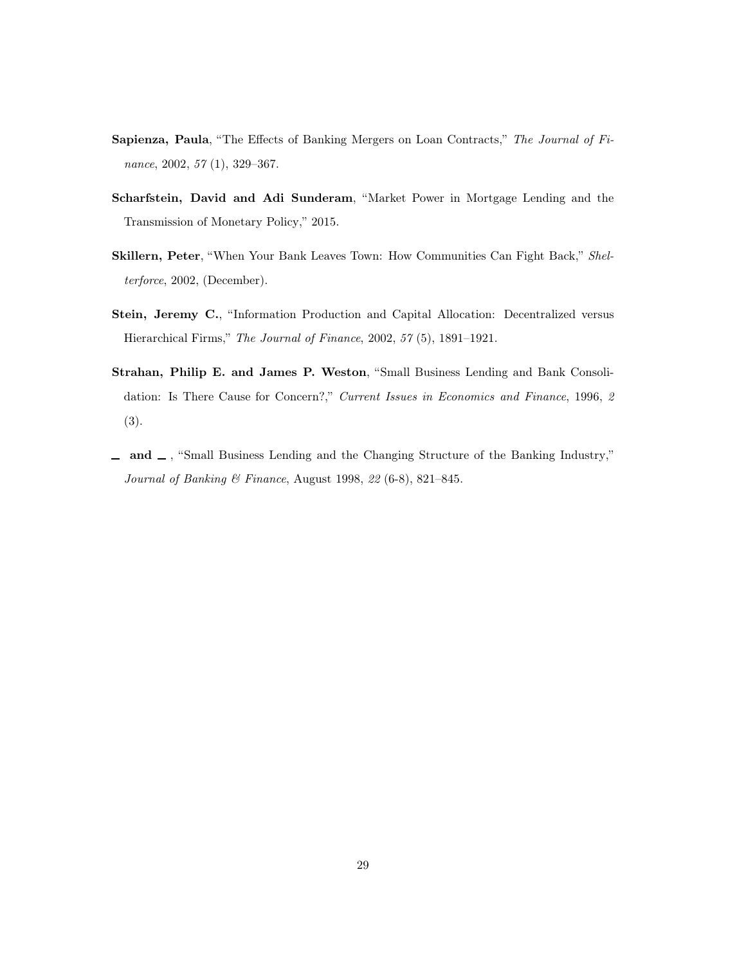- <span id="page-28-3"></span>Sapienza, Paula, "The Effects of Banking Mergers on Loan Contracts," The Journal of Finance, 2002, 57 (1), 329–367.
- <span id="page-28-5"></span>Scharfstein, David and Adi Sunderam, "Market Power in Mortgage Lending and the Transmission of Monetary Policy," 2015.
- <span id="page-28-0"></span>Skillern, Peter, "When Your Bank Leaves Town: How Communities Can Fight Back," Shelterforce, 2002, (December).
- <span id="page-28-4"></span>Stein, Jeremy C., "Information Production and Capital Allocation: Decentralized versus Hierarchical Firms," The Journal of Finance, 2002, 57 (5), 1891–1921.
- <span id="page-28-1"></span>Strahan, Philip E. and James P. Weston, "Small Business Lending and Bank Consolidation: Is There Cause for Concern?," Current Issues in Economics and Finance, 1996, 2 (3).
- <span id="page-28-2"></span> $\Box$  and  $\Box$ , "Small Business Lending and the Changing Structure of the Banking Industry," Journal of Banking & Finance, August 1998, 22 (6-8), 821–845.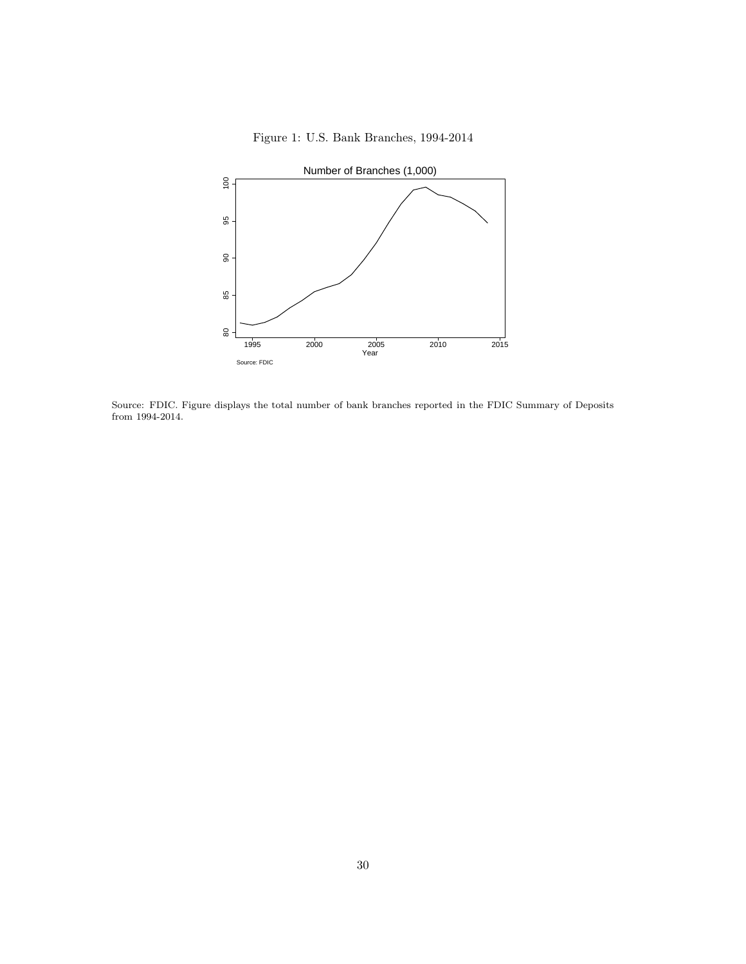<span id="page-29-0"></span>

Figure 1: U.S. Bank Branches, 1994-2014

Source: FDIC. Figure displays the total number of bank branches reported in the FDIC Summary of Deposits from 1994-2014.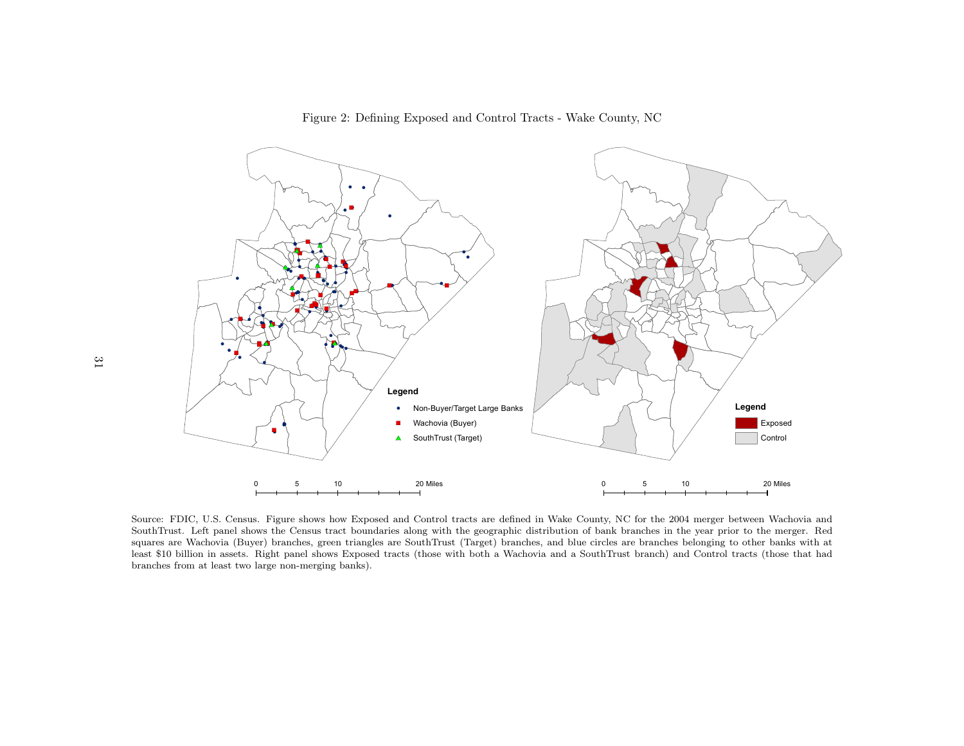<span id="page-30-0"></span>Figure 2: Defining Exposed and Control Tracts - Wake County, <sup>N</sup>C



Source: FDIC, U.S. Census. Figure shows how Exposed and Control tracts are defined in Wake County, NC for the <sup>2004</sup> merger between Wachovia and SouthTrust. Left pane<sup>l</sup> shows the Census tract boundaries along with the geographic distribution of bank branches in the year prior to the merger. Red squares are Wachovia (Buyer) branches, green triangles are SouthTrust (Target) branches, and blue circles are branches belonging to other banks with at least \$10 billion in assets. Right pane<sup>l</sup> shows Exposed tracts (those with both <sup>a</sup> Wachovia and <sup>a</sup> SouthTrust branch) and Control tracts (those that hadbranches from at least two large non-merging banks).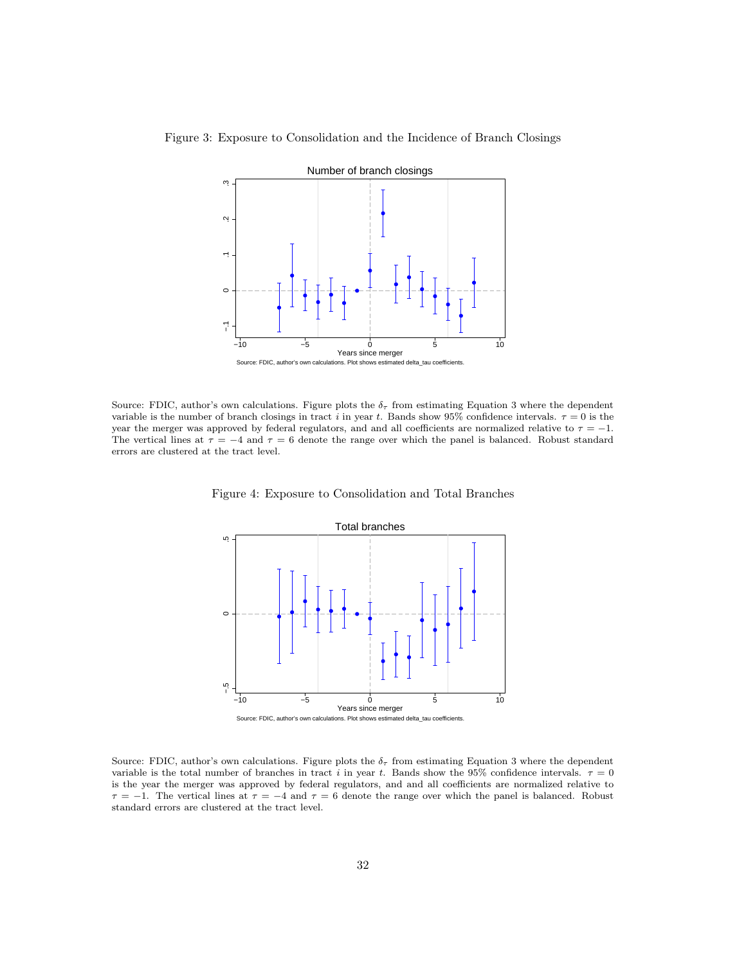

<span id="page-31-0"></span>Figure 3: Exposure to Consolidation and the Incidence of Branch Closings

<span id="page-31-1"></span>Source: FDIC, author's own calculations. Figure plots the  $\delta_{\tau}$  from estimating Equation 3 where the dependent variable is the number of branch closings in tract i in year t. Bands show 95% confidence intervals.  $\tau = 0$  is the year the merger was approved by federal regulators, and and all coefficients are normalized relative to  $\tau = -1$ . The vertical lines at  $\tau = -4$  and  $\tau = 6$  denote the range over which the panel is balanced. Robust standard errors are clustered at the tract level.

Figure 4: Exposure to Consolidation and Total Branches



Source: FDIC, author's own calculations. Figure plots the  $\delta_{\tau}$  from estimating Equation 3 where the dependent variable is the total number of branches in tract i in year t. Bands show the 95% confidence intervals.  $\tau = 0$ is the year the merger was approved by federal regulators, and and all coefficients are normalized relative to  $\tau = -1$ . The vertical lines at  $\tau = -4$  and  $\tau = 6$  denote the range over which the panel is balanced. Robust standard errors are clustered at the tract level.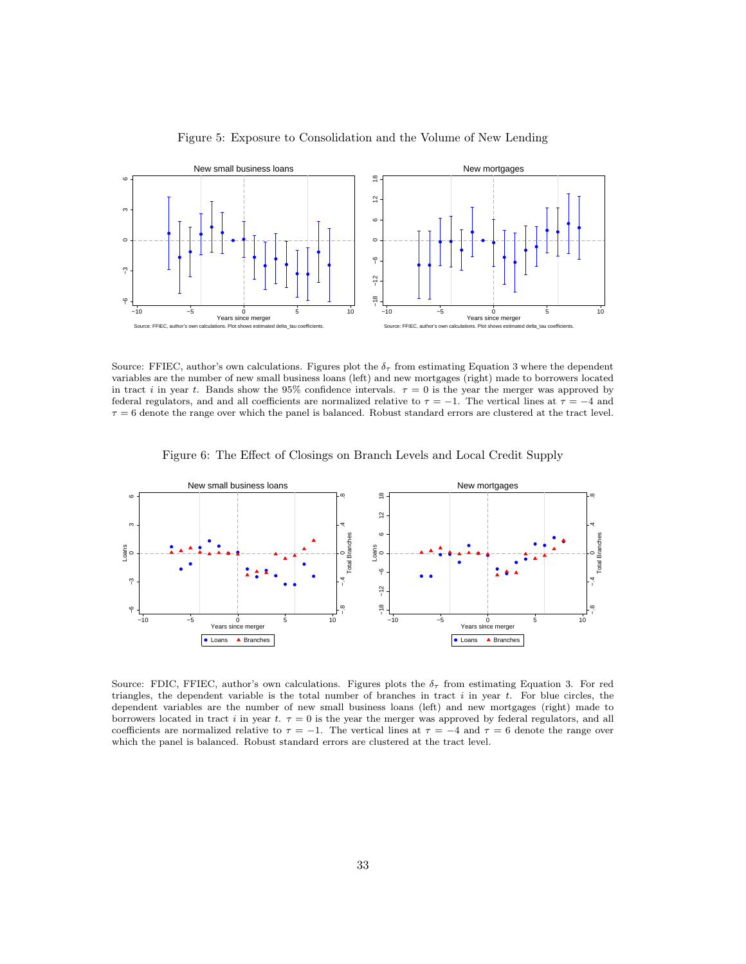<span id="page-32-0"></span>

Figure 5: Exposure to Consolidation and the Volume of New Lending

Source: FFIEC, author's own calculations. Figures plot the  $\delta_{\tau}$  from estimating Equation 3 where the dependent variables are the number of new small business loans (left) and new mortgages (right) made to borrowers located in tract i in year t. Bands show the 95% confidence intervals.  $\tau = 0$  is the year the merger was approved by federal regulators, and and all coefficients are normalized relative to  $\tau = -1$ . The vertical lines at  $\tau = -4$  and  $\tau = 6$  denote the range over which the panel is balanced. Robust standard errors are clustered at the tract level.



<span id="page-32-1"></span>

Source: FDIC, FFIEC, author's own calculations. Figures plots the  $\delta_{\tau}$  from estimating Equation 3. For red triangles, the dependent variable is the total number of branches in tract  $i$  in year  $t$ . For blue circles, the dependent variables are the number of new small business loans (left) and new mortgages (right) made to borrowers located in tract i in year t.  $\tau = 0$  is the year the merger was approved by federal regulators, and all coefficients are normalized relative to  $\tau = -1$ . The vertical lines at  $\tau = -4$  and  $\tau = 6$  denote the range over which the panel is balanced. Robust standard errors are clustered at the tract level.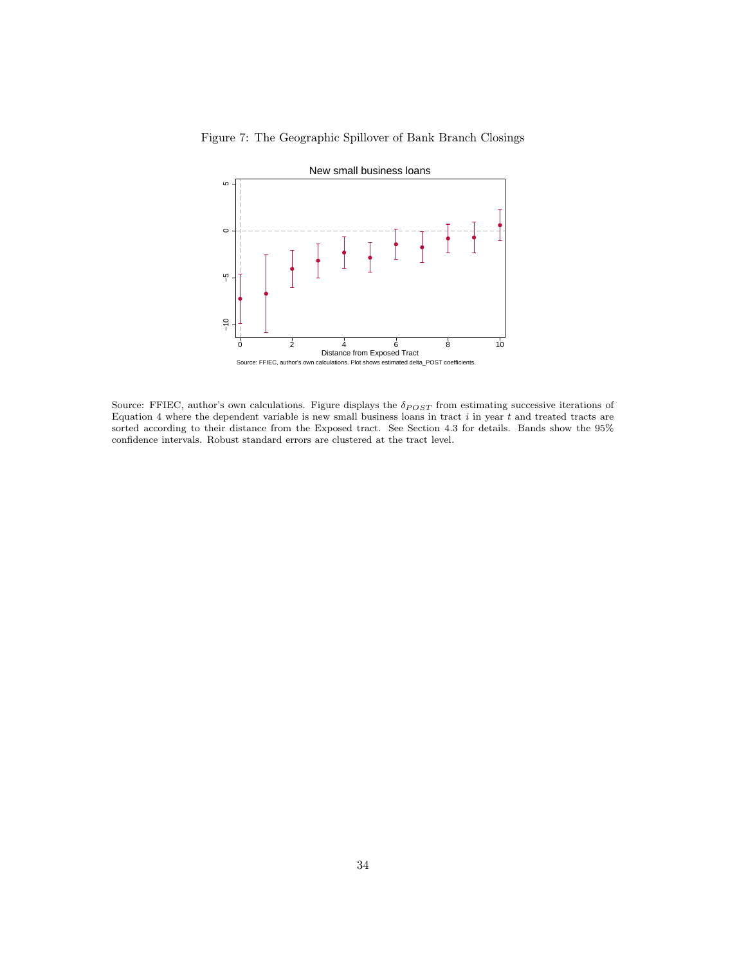

<span id="page-33-0"></span>Figure 7: The Geographic Spillover of Bank Branch Closings

Source: FFIEC, author's own calculations. Figure displays the  $\delta_{POST}$  from estimating successive iterations of Equation 4 where the dependent variable is new small business loans in tract  $i$  in year  $t$  and treated tracts are sorted according to their distance from the Exposed tract. See Section 4.3 for details. Bands show the 95% confidence intervals. Robust standard errors are clustered at the tract level.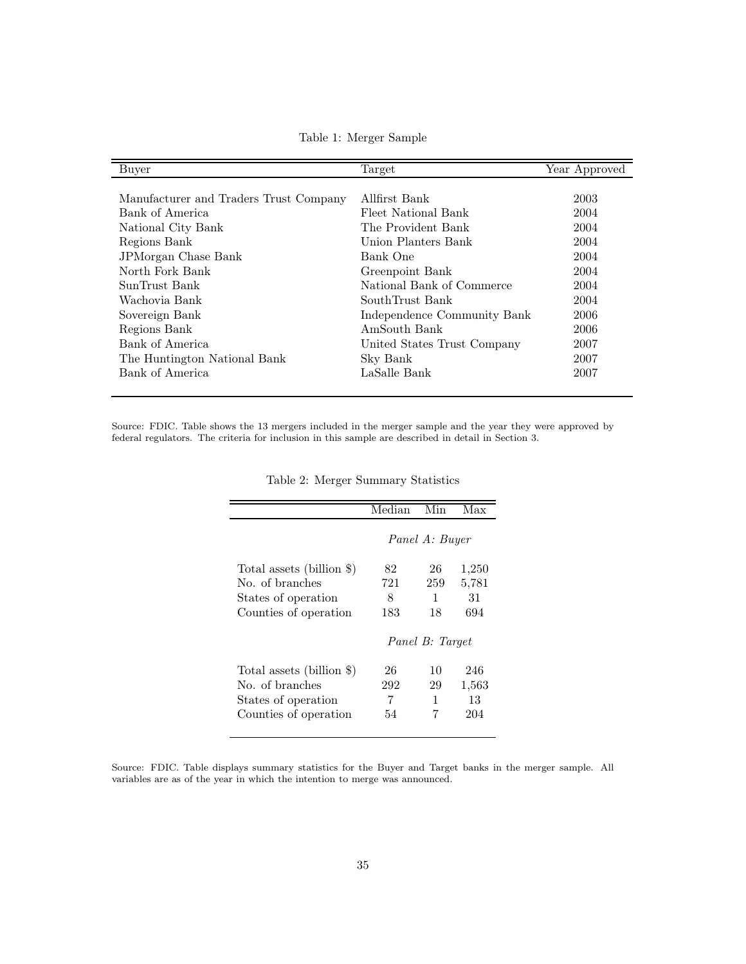Table 1: Merger Sample

<span id="page-34-0"></span>

| Buyer                                  | Target                      | Year Approved |
|----------------------------------------|-----------------------------|---------------|
|                                        |                             |               |
| Manufacturer and Traders Trust Company | Allfirst Bank               | 2003          |
| Bank of America                        | Fleet National Bank         | 2004          |
| National City Bank                     | The Provident Bank          | 2004          |
| Regions Bank                           | Union Planters Bank         | 2004          |
| JPMorgan Chase Bank                    | Bank One                    | 2004          |
| North Fork Bank                        | Greenpoint Bank             | 2004          |
| SunTrust Bank                          | National Bank of Commerce   | 2004          |
| Wachovia Bank                          | SouthTrust Bank             | 2004          |
| Sovereign Bank                         | Independence Community Bank | 2006          |
| Regions Bank                           | AmSouth Bank                | 2006          |
| Bank of America                        | United States Trust Company | 2007          |
| The Huntington National Bank           | Sky Bank                    | 2007          |
| Bank of America                        | LaSalle Bank                | 2007          |
|                                        |                             |               |

<span id="page-34-1"></span>Source: FDIC. Table shows the 13 mergers included in the merger sample and the year they were approved by federal regulators. The criteria for inclusion in this sample are described in detail in Section 3.

|                           | Median         | Min             | Max   |
|---------------------------|----------------|-----------------|-------|
|                           | Panel A: Buyer |                 |       |
| Total assets (billion \$) | 82             | 26              | 1,250 |
| No. of branches           | 721            | 259             | 5,781 |
| States of operation       | 8              | 1               | 31    |
| Counties of operation     | 183            | 18              | 694   |
|                           |                | Panel B: Target |       |
| Total assets (billion \$) | 26             | 10              | 246   |
| No. of branches           | 292            | 29              | 1,563 |
| States of operation       | 7              | 1               | 13    |
| Counties of operation     | 54             | 7               | 204   |

Table 2: Merger Summary Statistics

Source: FDIC. Table displays summary statistics for the Buyer and Target banks in the merger sample. All variables are as of the year in which the intention to merge was announced.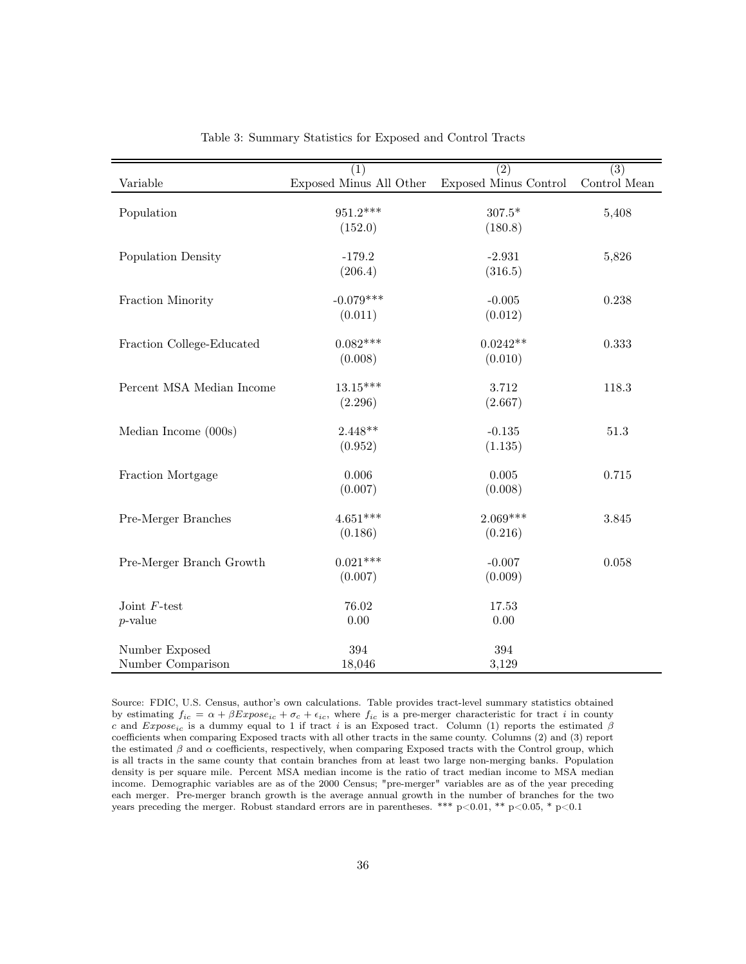<span id="page-35-0"></span>

|                           | (1)                     | $\overline{(2)}$             | $\overline{(3)}$ |
|---------------------------|-------------------------|------------------------------|------------------|
| Variable                  | Exposed Minus All Other | <b>Exposed Minus Control</b> | Control Mean     |
| Population                | 951.2***                | $307.5^{\ast}$               | 5,408            |
|                           | (152.0)                 | (180.8)                      |                  |
|                           |                         |                              |                  |
| Population Density        | $-179.2$                | $-2.931$                     | 5,826            |
|                           | (206.4)                 | (316.5)                      |                  |
|                           |                         |                              |                  |
| Fraction Minority         | $-0.079***$             | $-0.005$                     | 0.238            |
|                           | (0.011)                 | (0.012)                      |                  |
| Fraction College-Educated | $0.082***$              | $0.0242**$                   | 0.333            |
|                           | (0.008)                 | (0.010)                      |                  |
|                           |                         |                              |                  |
| Percent MSA Median Income | $13.15***$              | 3.712                        | 118.3            |
|                           | (2.296)                 | (2.667)                      |                  |
|                           |                         |                              |                  |
| Median Income $(000s)$    | $2.448**$               | $-0.135$                     | $51.3\,$         |
|                           | (0.952)                 | (1.135)                      |                  |
|                           | 0.006                   | 0.005                        | 0.715            |
| Fraction Mortgage         |                         |                              |                  |
|                           | (0.007)                 | (0.008)                      |                  |
| Pre-Merger Branches       | $4.651***$              | $2.069***$                   | $3.845\,$        |
|                           | (0.186)                 | (0.216)                      |                  |
|                           |                         |                              |                  |
| Pre-Merger Branch Growth  | $0.021***$              | $-0.007$                     | 0.058            |
|                           | (0.007)                 | (0.009)                      |                  |
|                           |                         |                              |                  |
| Joint $F$ -test           | 76.02                   | 17.53                        |                  |
| $p$ -value                | $0.00\,$                | 0.00                         |                  |
| Number Exposed            | 394                     | 394                          |                  |
| Number Comparison         | 18,046                  | 3,129                        |                  |
|                           |                         |                              |                  |

Table 3: Summary Statistics for Exposed and Control Tracts

Source: FDIC, U.S. Census, author's own calculations. Table provides tract-level summary statistics obtained by estimating  $f_{ic} = \alpha + \beta Expose_{ic} + \sigma_c + \epsilon_{ic}$ , where  $f_{ic}$  is a pre-merger characteristic for tract i in county c and  $Expose<sub>ic</sub>$  is a dummy equal to 1 if tract i is an Exposed tract. Column (1) reports the estimated  $\beta$ coefficients when comparing Exposed tracts with all other tracts in the same county. Columns (2) and (3) report the estimated  $\beta$  and  $\alpha$  coefficients, respectively, when comparing Exposed tracts with the Control group, which is all tracts in the same county that contain branches from at least two large non-merging banks. Population density is per square mile. Percent MSA median income is the ratio of tract median income to MSA median income. Demographic variables are as of the 2000 Census; "pre-merger" variables are as of the year preceding each merger. Pre-merger branch growth is the average annual growth in the number of branches for the two years preceding the merger. Robust standard errors are in parentheses. \*\*\*  $p<0.01$ , \*\*  $p<0.05$ , \*  $p<0.1$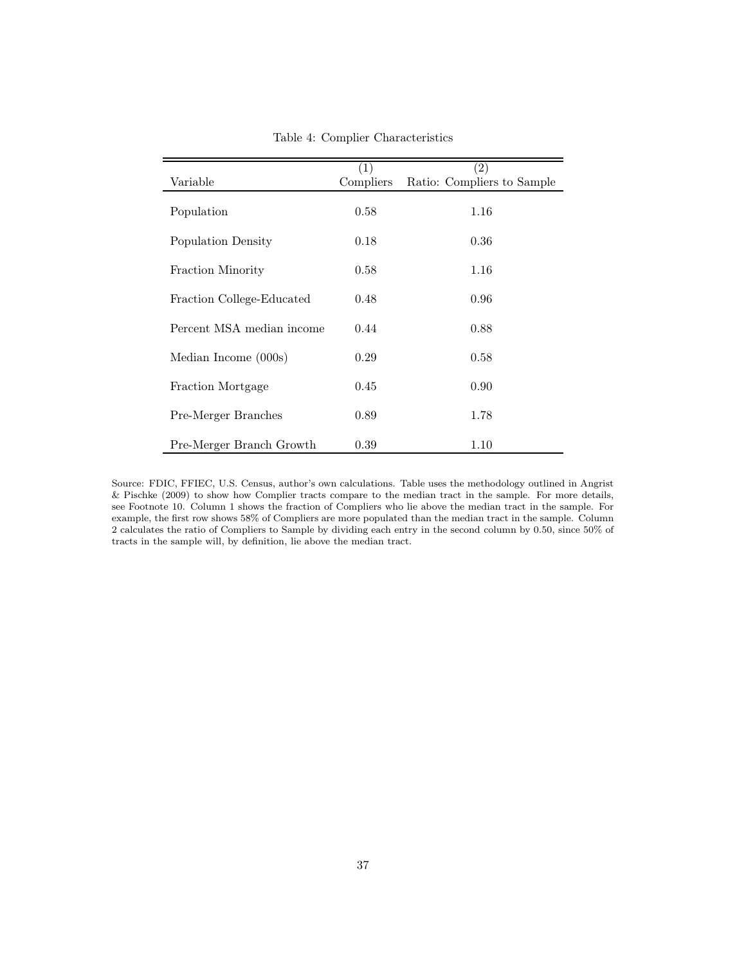<span id="page-36-0"></span>

|                           | (1)       | (2)                        |
|---------------------------|-----------|----------------------------|
| Variable                  | Compliers | Ratio: Compliers to Sample |
|                           |           |                            |
| Population                | 0.58      | 1.16                       |
|                           |           |                            |
| Population Density        | 0.18      | 0.36                       |
|                           |           |                            |
| Fraction Minority         | 0.58      | 1.16                       |
|                           |           |                            |
| Fraction College-Educated | 0.48      | 0.96                       |
|                           |           |                            |
| Percent MSA median income | 0.44      | 0.88                       |
|                           |           |                            |
| Median Income (000s)      | 0.29      | 0.58                       |
|                           |           |                            |
| Fraction Mortgage         | 0.45      | 0.90                       |
|                           |           |                            |
| Pre-Merger Branches       | 0.89      | 1.78                       |
|                           |           |                            |
| Pre-Merger Branch Growth  | 0.39      | 1.10                       |
|                           |           |                            |

Table 4: Complier Characteristics

Source: FDIC, FFIEC, U.S. Census, author's own calculations. Table uses the methodology outlined in Angrist & Pischke (2009) to show how Complier tracts compare to the median tract in the sample. For more details, see Footnote 10. Column 1 shows the fraction of Compliers who lie above the median tract in the sample. For example, the first row shows 58% of Compliers are more populated than the median tract in the sample. Column 2 calculates the ratio of Compliers to Sample by dividing each entry in the second column by 0.50, since 50% of tracts in the sample will, by definition, lie above the median tract.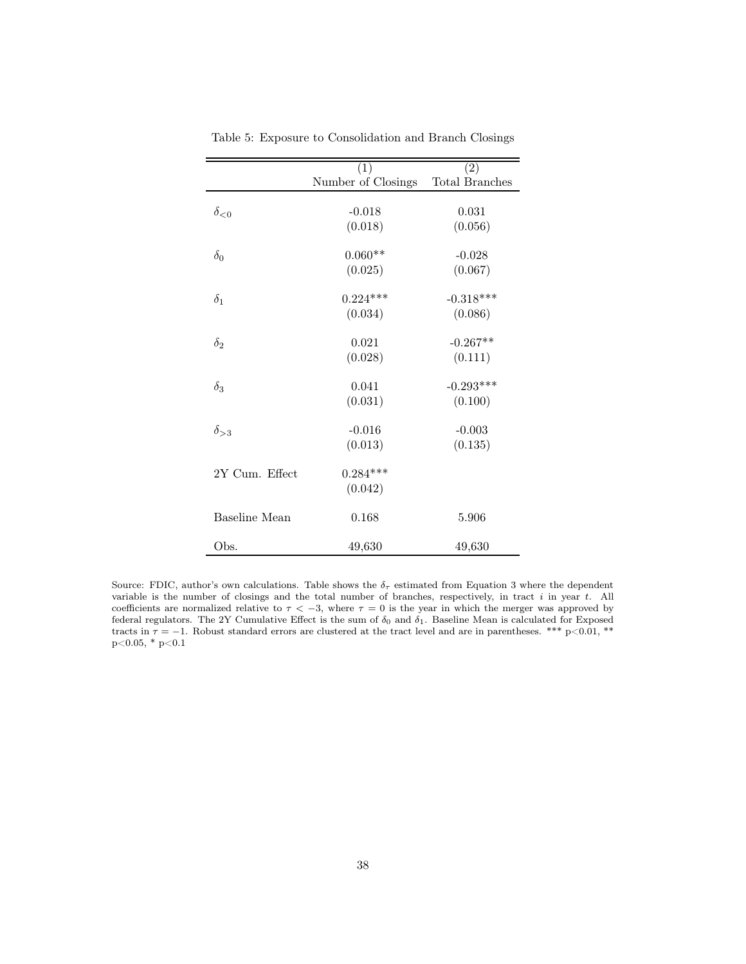<span id="page-37-0"></span>

|                      | (1)                | (2)                   |
|----------------------|--------------------|-----------------------|
|                      | Number of Closings | <b>Total Branches</b> |
|                      |                    |                       |
| $\delta_{\leq 0}$    | $-0.018$           | 0.031                 |
|                      | (0.018)            | (0.056)               |
| $\delta_0$           | $0.060**$          | $-0.028$              |
|                      | (0.025)            | (0.067)               |
|                      |                    |                       |
| $\delta_1$           | $0.224***$         | $-0.318***$           |
|                      | (0.034)            | (0.086)               |
| $\delta_2$           | 0.021              | $-0.267**$            |
|                      | (0.028)            | (0.111)               |
|                      |                    |                       |
| $\delta_3$           | 0.041              | $-0.293***$           |
|                      | (0.031)            | (0.100)               |
| $\delta_{>3}$        | $-0.016$           | $-0.003$              |
|                      | (0.013)            | (0.135)               |
|                      |                    |                       |
| 2Y Cum. Effect       | $0.284***$         |                       |
|                      | (0.042)            |                       |
| <b>Baseline</b> Mean | 0.168              | 5.906                 |
|                      |                    |                       |
| Obs.                 | 49,630             | 49,630                |

Table 5: Exposure to Consolidation and Branch Closings

Source: FDIC, author's own calculations. Table shows the  $\delta_{\tau}$  estimated from Equation 3 where the dependent variable is the number of closings and the total number of branches, respectively, in tract i in year t. All coefficients are normalized relative to  $\tau < -3$ , where  $\tau = 0$  is the year in which the merger was approved by federal regulators. The 2Y Cumulative Effect is the sum of  $\delta_0$  and  $\delta_1$ . Baseline Mean is calculated for Exposed tracts in  $\tau = -1$ . Robust standard errors are clustered at the tract level and are in parentheses. \*\*\* p<0.01, \*\*  $\rm p{<}0.05,$  \*  $\rm p{<}0.1$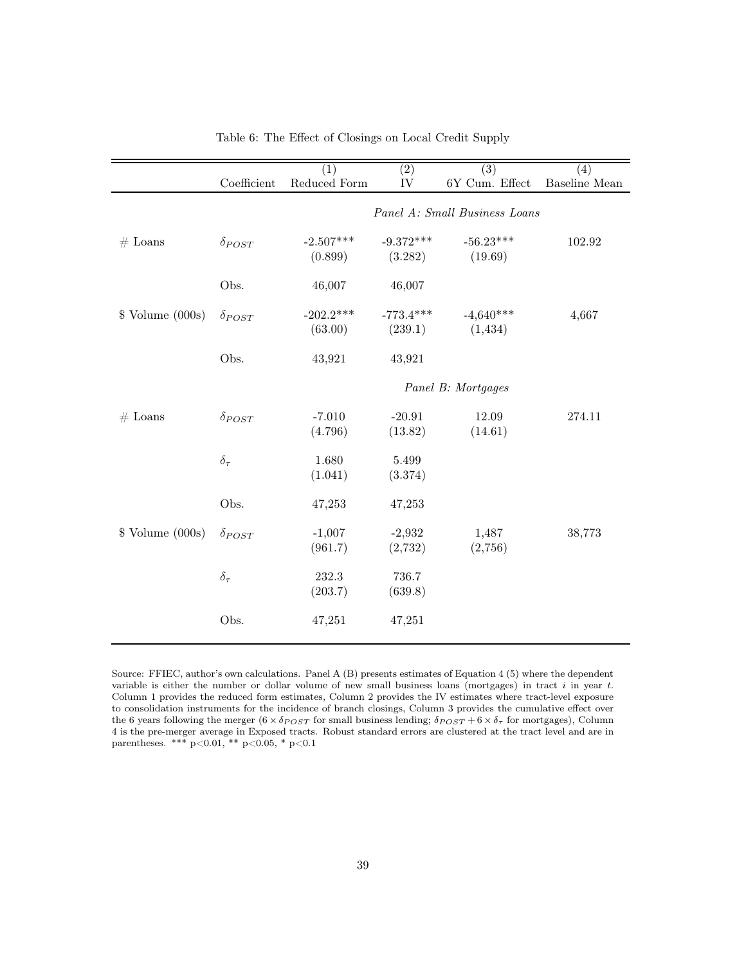<span id="page-38-0"></span>

|                        |                 | (1)                    | $\overline{(2)}$       | (3)                           | (4)           |
|------------------------|-----------------|------------------------|------------------------|-------------------------------|---------------|
|                        | Coefficient     | Reduced Form           | IV                     | 6Y Cum. Effect                | Baseline Mean |
|                        |                 |                        |                        | Panel A: Small Business Loans |               |
| $#$ Loans              | $\delta_{POST}$ | $-2.507***$<br>(0.899) | $-9.372***$<br>(3.282) | $-56.23***$<br>(19.69)        | 102.92        |
|                        | Obs.            | 46,007                 | 46,007                 |                               |               |
| $\gamma$ Volume (000s) | $\delta_{POST}$ | $-202.2***$<br>(63.00) | $-773.4***$<br>(239.1) | $-4,640***$<br>(1,434)        | 4,667         |
|                        | Obs.            | 43,921                 | 43,921                 |                               |               |
|                        |                 |                        |                        | Panel B: Mortgages            |               |
| $#$ Loans              | $\delta_{POST}$ | $-7.010$<br>(4.796)    | $-20.91$<br>(13.82)    | 12.09<br>(14.61)              | 274.11        |
|                        | $\delta_{\tau}$ | 1.680<br>(1.041)       | 5.499<br>(3.374)       |                               |               |
|                        | Obs.            | 47,253                 | 47,253                 |                               |               |
| $\gamma$ Volume (000s) | $\delta_{POST}$ | $-1,007$<br>(961.7)    | $-2,932$<br>(2,732)    | 1,487<br>(2,756)              | 38,773        |
|                        | $\delta_{\tau}$ | 232.3<br>(203.7)       | 736.7<br>(639.8)       |                               |               |
|                        | Obs.            | 47,251                 | 47,251                 |                               |               |

Table 6: The Effect of Closings on Local Credit Supply

Source: FFIEC, author's own calculations. Panel A (B) presents estimates of Equation 4 (5) where the dependent variable is either the number or dollar volume of new small business loans (mortgages) in tract i in year t. Column 1 provides the reduced form estimates, Column 2 provides the IV estimates where tract-level exposure to consolidation instruments for the incidence of branch closings, Column 3 provides the cumulative effect over the 6 years following the merger  $(6 \times \delta_{POST}$  for small business lending;  $\delta_{POST} + 6 \times \delta_{\tau}$  for mortgages), Column 4 is the pre-merger average in Exposed tracts. Robust standard errors are clustered at the tract level and are in parentheses. \*\*\* p<0.01, \*\* p<0.05, \* p<0.1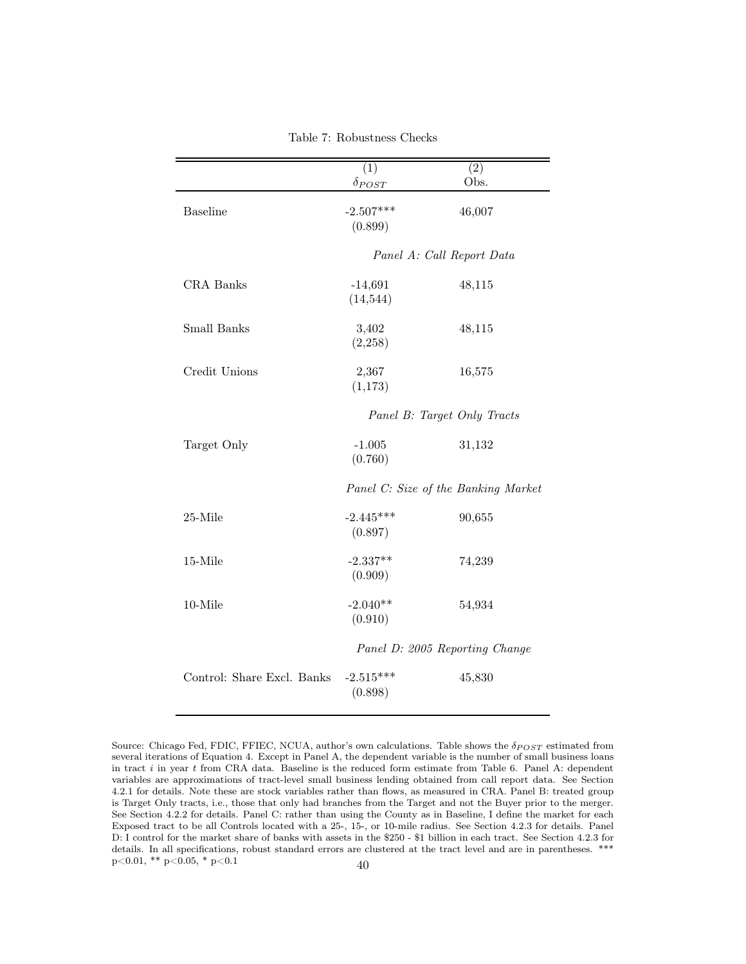<span id="page-39-0"></span>

|                            | (1)<br>$\delta_{POST}$          | $\overline{(2)}$<br>Obs.            |
|----------------------------|---------------------------------|-------------------------------------|
| <b>Baseline</b>            | $-2.507***$<br>(0.899)          | 46,007                              |
|                            |                                 | Panel A: Call Report Data           |
| <b>CRA</b> Banks           | $-14,691$<br>(14, 544)          | 48,115                              |
| Small Banks                | 3,402<br>(2,258)                | 48,115                              |
| Credit Unions              | 2,367<br>(1,173)                | 16,575                              |
|                            |                                 | Panel B: Target Only Tracts         |
| Target Only                | $-1.005$<br>(0.760)             | 31,132                              |
|                            |                                 | Panel C: Size of the Banking Market |
| 25-Mile                    | $-2.445***$<br>(0.897)          | 90,655                              |
| 15-Mile                    | $-2.337**$<br>(0.909)           | 74,239                              |
| 10-Mile                    | $-2.040**$<br>54,934<br>(0.910) |                                     |
|                            |                                 | Panel D: 2005 Reporting Change      |
| Control: Share Excl. Banks | $-2.515***$<br>(0.898)          | 45,830                              |

Table 7: Robustness Checks

Source: Chicago Fed, FDIC, FFIEC, NCUA, author's own calculations. Table shows the  $\delta_{POST}$  estimated from several iterations of Equation 4. Except in Panel A, the dependent variable is the number of small business loans in tract  $i$  in year  $t$  from CRA data. Baseline is the reduced form estimate from Table 6. Panel A: dependent variables are approximations of tract-level small business lending obtained from call report data. See Section 4.2.1 for details. Note these are stock variables rather than flows, as measured in CRA. Panel B: treated group is Target Only tracts, i.e., those that only had branches from the Target and not the Buyer prior to the merger. See Section 4.2.2 for details. Panel C: rather than using the County as in Baseline, I define the market for each Exposed tract to be all Controls located with a 25-, 15-, or 10-mile radius. See Section 4.2.3 for details. Panel D: I control for the market share of banks with assets in the \$250 - \$1 billion in each tract. See Section 4.2.3 for details. In all specifications, robust standard errors are clustered at the tract level and are in parentheses. \*\*\*  $p<0.01$ , \*\*  $p<0.05$ , \*  $p<0.1$  40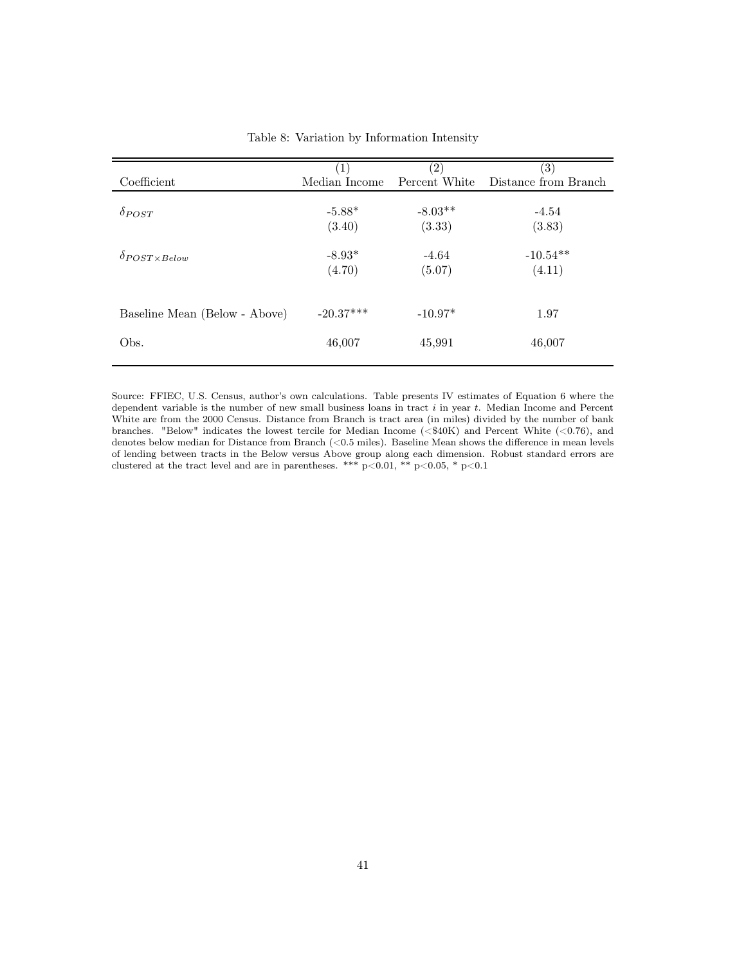<span id="page-40-0"></span>

|                               |                    | $\left( 2\right)$   | $\left( 3\right)$    |
|-------------------------------|--------------------|---------------------|----------------------|
| Coefficient                   | Median Income      | Percent White       | Distance from Branch |
| $\delta_{POST}$               | $-5.88*$<br>(3.40) | $-8.03**$<br>(3.33) | $-4.54$<br>(3.83)    |
| $\delta$ POST x Below         | $-8.93*$<br>(4.70) | $-4.64$<br>(5.07)   | $-10.54**$<br>(4.11) |
| Baseline Mean (Below - Above) | $-20.37***$        | $-10.97*$           | 1.97                 |
| Obs.                          | 46,007             | 45,991              | 46,007               |

|  |  |  | Table 8: Variation by Information Intensity |  |
|--|--|--|---------------------------------------------|--|
|--|--|--|---------------------------------------------|--|

Source: FFIEC, U.S. Census, author's own calculations. Table presents IV estimates of Equation 6 where the dependent variable is the number of new small business loans in tract  $i$  in year  $t$ . Median Income and Percent White are from the 2000 Census. Distance from Branch is tract area (in miles) divided by the number of bank branches. "Below" indicates the lowest tercile for Median Income  $( $$40K$ )$  and Percent White (<0.76), and denotes below median for Distance from Branch (<0.5 miles). Baseline Mean shows the difference in mean levels of lending between tracts in the Below versus Above group along each dimension. Robust standard errors are clustered at the tract level and are in parentheses. \*\*\*  $p<0.01$ , \*\*  $p<0.05$ , \*  $p<0.1$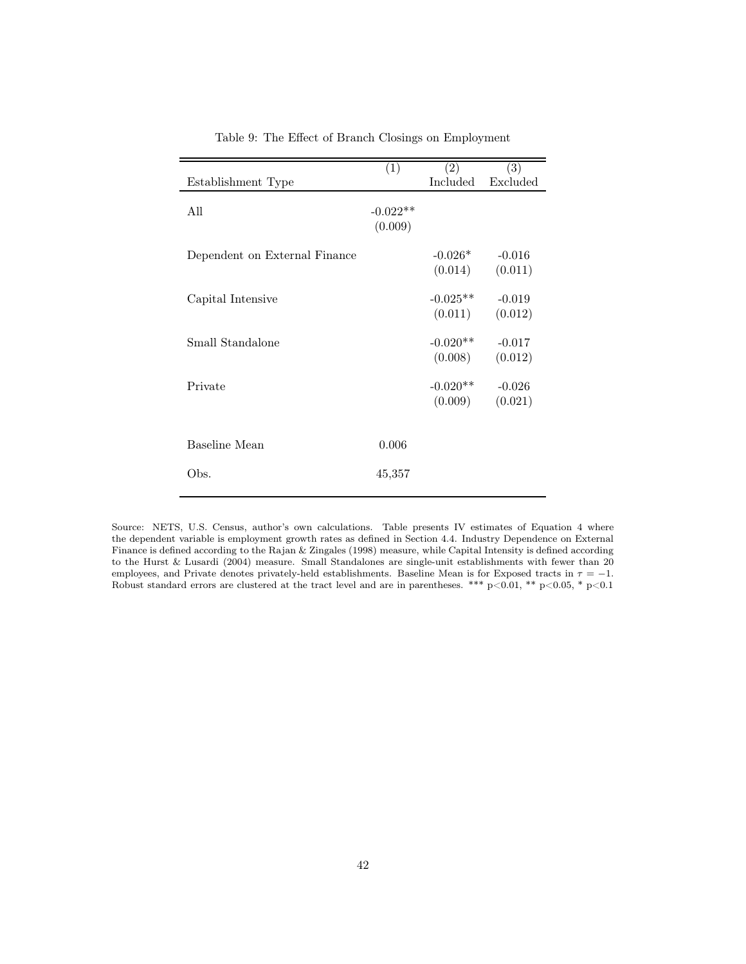<span id="page-41-0"></span>

|                               | (1)        | (2)        | $\overline{(3)}$ |
|-------------------------------|------------|------------|------------------|
| Establishment Type            |            | Included   | Excluded         |
|                               |            |            |                  |
| All                           | $-0.022**$ |            |                  |
|                               | (0.009)    |            |                  |
|                               |            |            |                  |
| Dependent on External Finance |            | $-0.026*$  | $-0.016$         |
|                               |            | (0.014)    | (0.011)          |
|                               |            |            |                  |
| Capital Intensive             |            | $-0.025**$ | $-0.019$         |
|                               |            | (0.011)    | (0.012)          |
| Small Standalone              |            | $-0.020**$ | $-0.017$         |
|                               |            | (0.008)    | (0.012)          |
|                               |            |            |                  |
| Private                       |            | $-0.020**$ | $-0.026$         |
|                               |            | (0.009)    | (0.021)          |
|                               |            |            |                  |
|                               |            |            |                  |
| Baseline Mean                 | 0.006      |            |                  |
|                               |            |            |                  |
| Obs.                          | 45,357     |            |                  |
|                               |            |            |                  |

Table 9: The Effect of Branch Closings on Employment

Source: NETS, U.S. Census, author's own calculations. Table presents IV estimates of Equation 4 where the dependent variable is employment growth rates as defined in Section 4.4. Industry Dependence on External Finance is defined according to the Rajan & Zingales (1998) measure, while Capital Intensity is defined according to the Hurst & Lusardi (2004) measure. Small Standalones are single-unit establishments with fewer than 20 employees, and Private denotes privately-held establishments. Baseline Mean is for Exposed tracts in  $\tau = -1$ . Robust standard errors are clustered at the tract level and are in parentheses. \*\*\*  $p<0.01$ , \*\*  $p<0.05$ , \*  $p<0.1$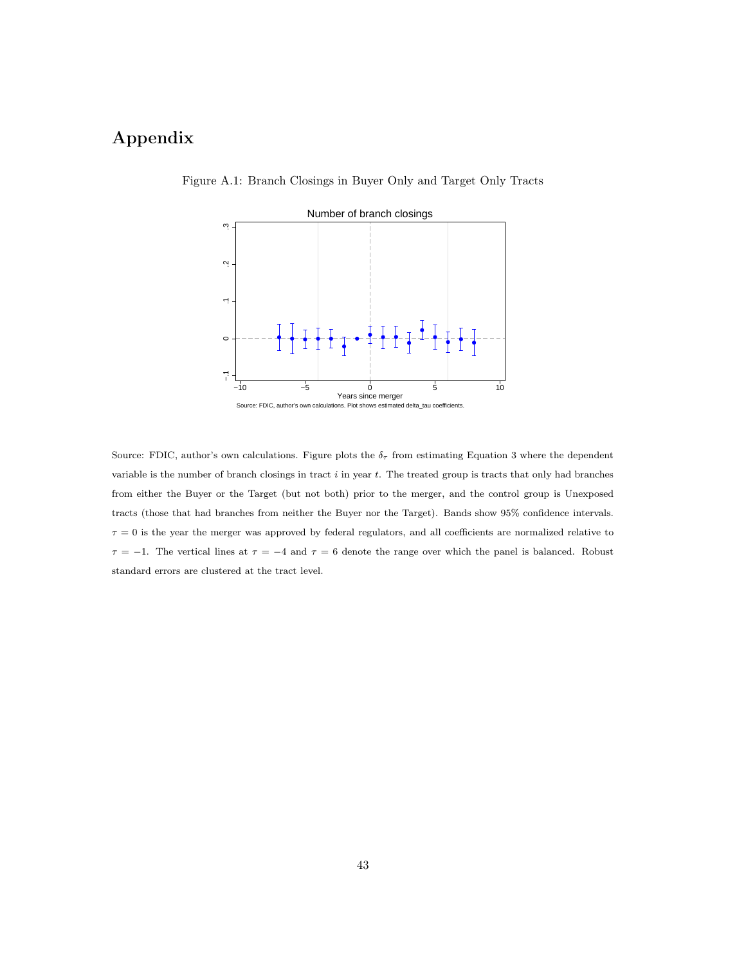## <span id="page-42-0"></span>Appendix



Figure A.1: Branch Closings in Buyer Only and Target Only Tracts

Source: FDIC, author's own calculations. Figure plots the  $\delta_{\tau}$  from estimating Equation 3 where the dependent variable is the number of branch closings in tract i in year t. The treated group is tracts that only had branches from either the Buyer or the Target (but not both) prior to the merger, and the control group is Unexposed tracts (those that had branches from neither the Buyer nor the Target). Bands show 95% confidence intervals.  $\tau = 0$  is the year the merger was approved by federal regulators, and all coefficients are normalized relative to  $\tau = -1$ . The vertical lines at  $\tau = -4$  and  $\tau = 6$  denote the range over which the panel is balanced. Robust standard errors are clustered at the tract level.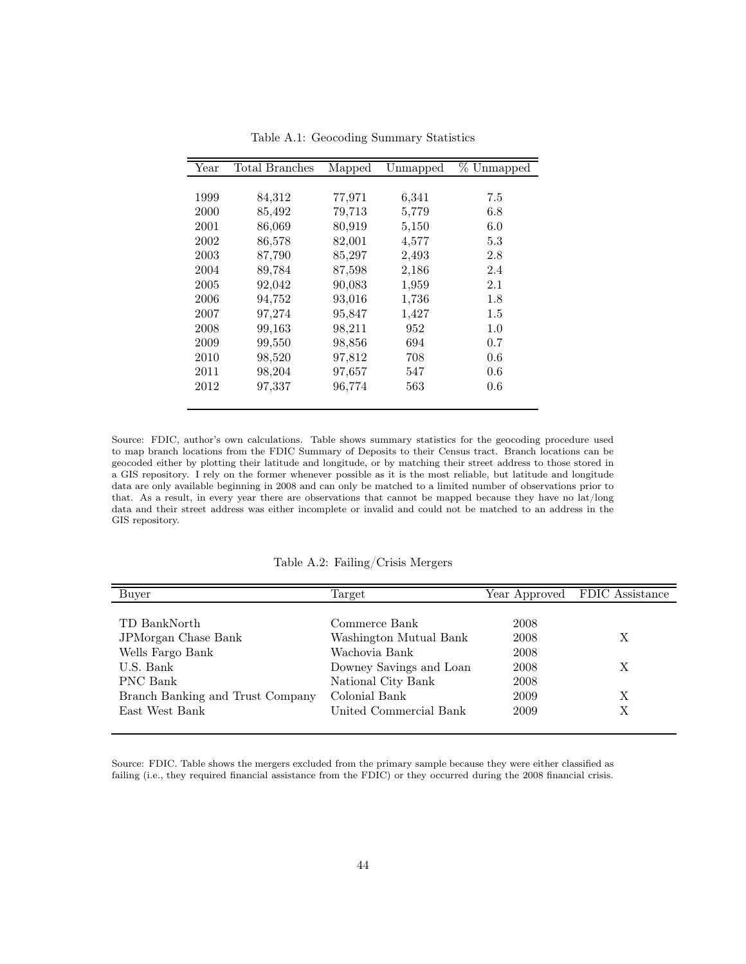<span id="page-43-0"></span>

| Year | Total Branches | Mapped | Unmapped | % Unmapped |
|------|----------------|--------|----------|------------|
|      |                |        |          |            |
| 1999 | 84,312         | 77,971 | 6,341    | 7.5        |
| 2000 | 85,492         | 79,713 | 5,779    | 6.8        |
| 2001 | 86,069         | 80,919 | 5,150    | 6.0        |
| 2002 | 86,578         | 82,001 | 4,577    | 5.3        |
| 2003 | 87,790         | 85,297 | 2,493    | 2.8        |
| 2004 | 89.784         | 87,598 | 2,186    | 2.4        |
| 2005 | 92,042         | 90,083 | 1,959    | 2.1        |
| 2006 | 94,752         | 93,016 | 1,736    | 1.8        |
| 2007 | 97,274         | 95,847 | 1,427    | $1.5\,$    |
| 2008 | 99,163         | 98,211 | 952      | 1.0        |
| 2009 | 99,550         | 98,856 | 694      | 0.7        |
| 2010 | 98,520         | 97,812 | 708      | 0.6        |
| 2011 | 98,204         | 97,657 | 547      | 0.6        |
| 2012 | 97,337         | 96,774 | 563      | 0.6        |
|      |                |        |          |            |

Table A.1: Geocoding Summary Statistics

Source: FDIC, author's own calculations. Table shows summary statistics for the geocoding procedure used to map branch locations from the FDIC Summary of Deposits to their Census tract. Branch locations can be geocoded either by plotting their latitude and longitude, or by matching their street address to those stored in a GIS repository. I rely on the former whenever possible as it is the most reliable, but latitude and longitude data are only available beginning in 2008 and can only be matched to a limited number of observations prior to that. As a result, in every year there are observations that cannot be mapped because they have no lat/long data and their street address was either incomplete or invalid and could not be matched to an address in the GIS repository.

Table A.2: Failing/Crisis Mergers

<span id="page-43-1"></span>

| Buver                            | Target                  |      | Year Approved FDIC Assistance |
|----------------------------------|-------------------------|------|-------------------------------|
|                                  |                         |      |                               |
| TD BankNorth                     | Commerce Bank           | 2008 |                               |
| JPMorgan Chase Bank              | Washington Mutual Bank  | 2008 | X                             |
| Wells Fargo Bank                 | Wachovia Bank           | 2008 |                               |
| U.S. Bank                        | Downey Savings and Loan | 2008 | X                             |
| PNC Bank                         | National City Bank      | 2008 |                               |
| Branch Banking and Trust Company | Colonial Bank           | 2009 | Х                             |
| East West Bank                   | United Commercial Bank  | 2009 | X                             |
|                                  |                         |      |                               |

Source: FDIC. Table shows the mergers excluded from the primary sample because they were either classified as failing (i.e., they required financial assistance from the FDIC) or they occurred during the 2008 financial crisis.